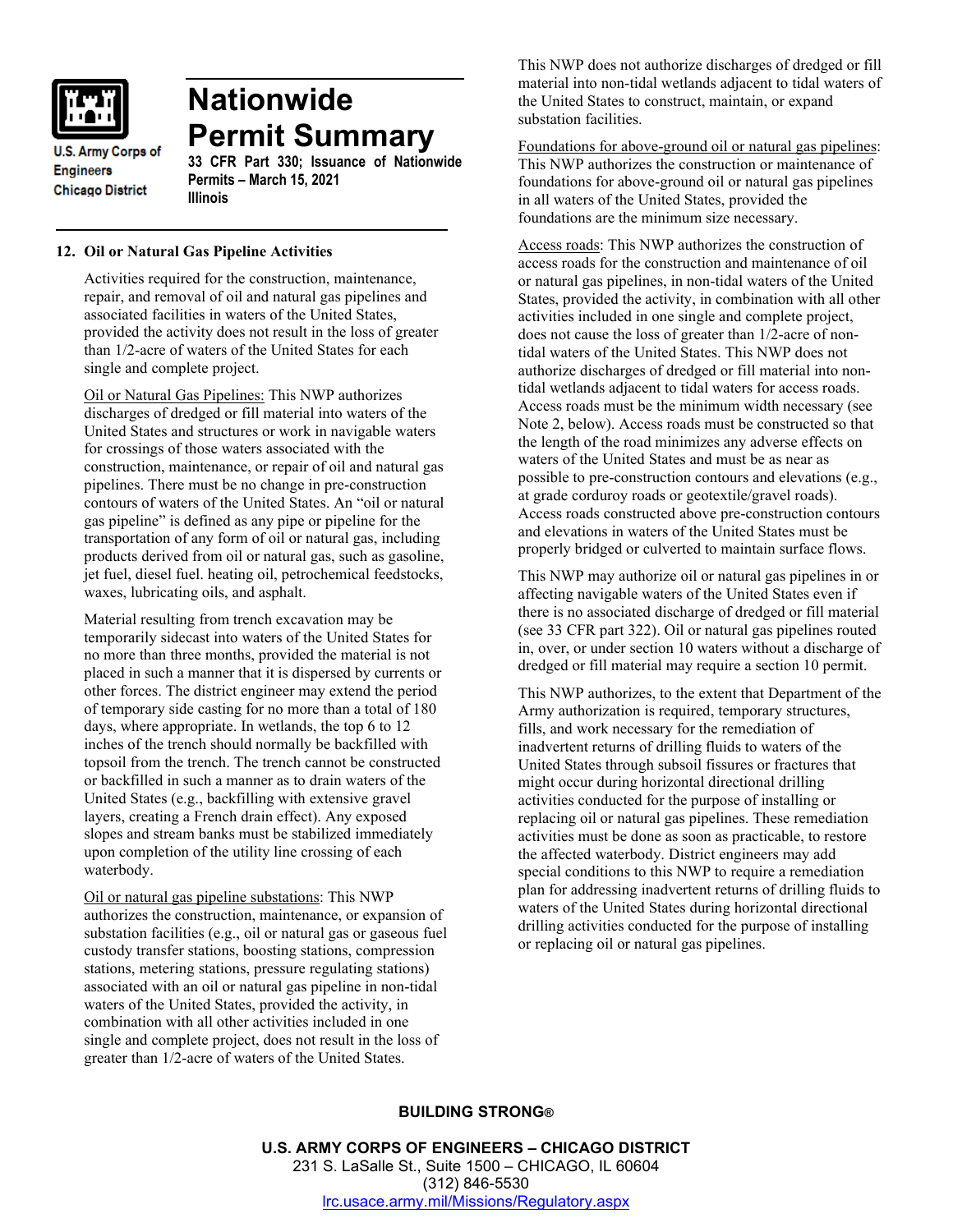

**Nationwide Permit Summary**

**U.S. Army Corps of Engineers Chicago District** 

# **33 CFR Part 330; Issuance of Nationwide Permits – March 15, 2021 Illinois**

# **12. Oil or Natural Gas Pipeline Activities**

Activities required for the construction, maintenance, repair, and removal of oil and natural gas pipelines and associated facilities in waters of the United States, provided the activity does not result in the loss of greater than 1/2-acre of waters of the United States for each single and complete project.

Oil or Natural Gas Pipelines: This NWP authorizes discharges of dredged or fill material into waters of the United States and structures or work in navigable waters for crossings of those waters associated with the construction, maintenance, or repair of oil and natural gas pipelines. There must be no change in pre-construction contours of waters of the United States. An "oil or natural gas pipeline" is defined as any pipe or pipeline for the transportation of any form of oil or natural gas, including products derived from oil or natural gas, such as gasoline, jet fuel, diesel fuel. heating oil, petrochemical feedstocks, waxes, lubricating oils, and asphalt.

Material resulting from trench excavation may be temporarily sidecast into waters of the United States for no more than three months, provided the material is not placed in such a manner that it is dispersed by currents or other forces. The district engineer may extend the period of temporary side casting for no more than a total of 180 days, where appropriate. In wetlands, the top 6 to 12 inches of the trench should normally be backfilled with topsoil from the trench. The trench cannot be constructed or backfilled in such a manner as to drain waters of the United States (e.g., backfilling with extensive gravel layers, creating a French drain effect). Any exposed slopes and stream banks must be stabilized immediately upon completion of the utility line crossing of each waterbody.

Oil or natural gas pipeline substations: This NWP authorizes the construction, maintenance, or expansion of substation facilities (e.g., oil or natural gas or gaseous fuel custody transfer stations, boosting stations, compression stations, metering stations, pressure regulating stations) associated with an oil or natural gas pipeline in non-tidal waters of the United States, provided the activity, in combination with all other activities included in one single and complete project, does not result in the loss of greater than 1/2-acre of waters of the United States.

This NWP does not authorize discharges of dredged or fill material into non-tidal wetlands adjacent to tidal waters of the United States to construct, maintain, or expand substation facilities.

Foundations for above-ground oil or natural gas pipelines: This NWP authorizes the construction or maintenance of foundations for above-ground oil or natural gas pipelines in all waters of the United States, provided the foundations are the minimum size necessary.

Access roads: This NWP authorizes the construction of access roads for the construction and maintenance of oil or natural gas pipelines, in non-tidal waters of the United States, provided the activity, in combination with all other activities included in one single and complete project, does not cause the loss of greater than 1/2-acre of nontidal waters of the United States. This NWP does not authorize discharges of dredged or fill material into nontidal wetlands adjacent to tidal waters for access roads. Access roads must be the minimum width necessary (see Note 2, below). Access roads must be constructed so that the length of the road minimizes any adverse effects on waters of the United States and must be as near as possible to pre-construction contours and elevations (e.g., at grade corduroy roads or geotextile/gravel roads). Access roads constructed above pre-construction contours and elevations in waters of the United States must be properly bridged or culverted to maintain surface flows.

This NWP may authorize oil or natural gas pipelines in or affecting navigable waters of the United States even if there is no associated discharge of dredged or fill material (see 33 CFR part 322). Oil or natural gas pipelines routed in, over, or under section 10 waters without a discharge of dredged or fill material may require a section 10 permit.

This NWP authorizes, to the extent that Department of the Army authorization is required, temporary structures, fills, and work necessary for the remediation of inadvertent returns of drilling fluids to waters of the United States through subsoil fissures or fractures that might occur during horizontal directional drilling activities conducted for the purpose of installing or replacing oil or natural gas pipelines. These remediation activities must be done as soon as practicable, to restore the affected waterbody. District engineers may add special conditions to this NWP to require a remediation plan for addressing inadvertent returns of drilling fluids to waters of the United States during horizontal directional drilling activities conducted for the purpose of installing or replacing oil or natural gas pipelines.

# **BUILDING STRONG®**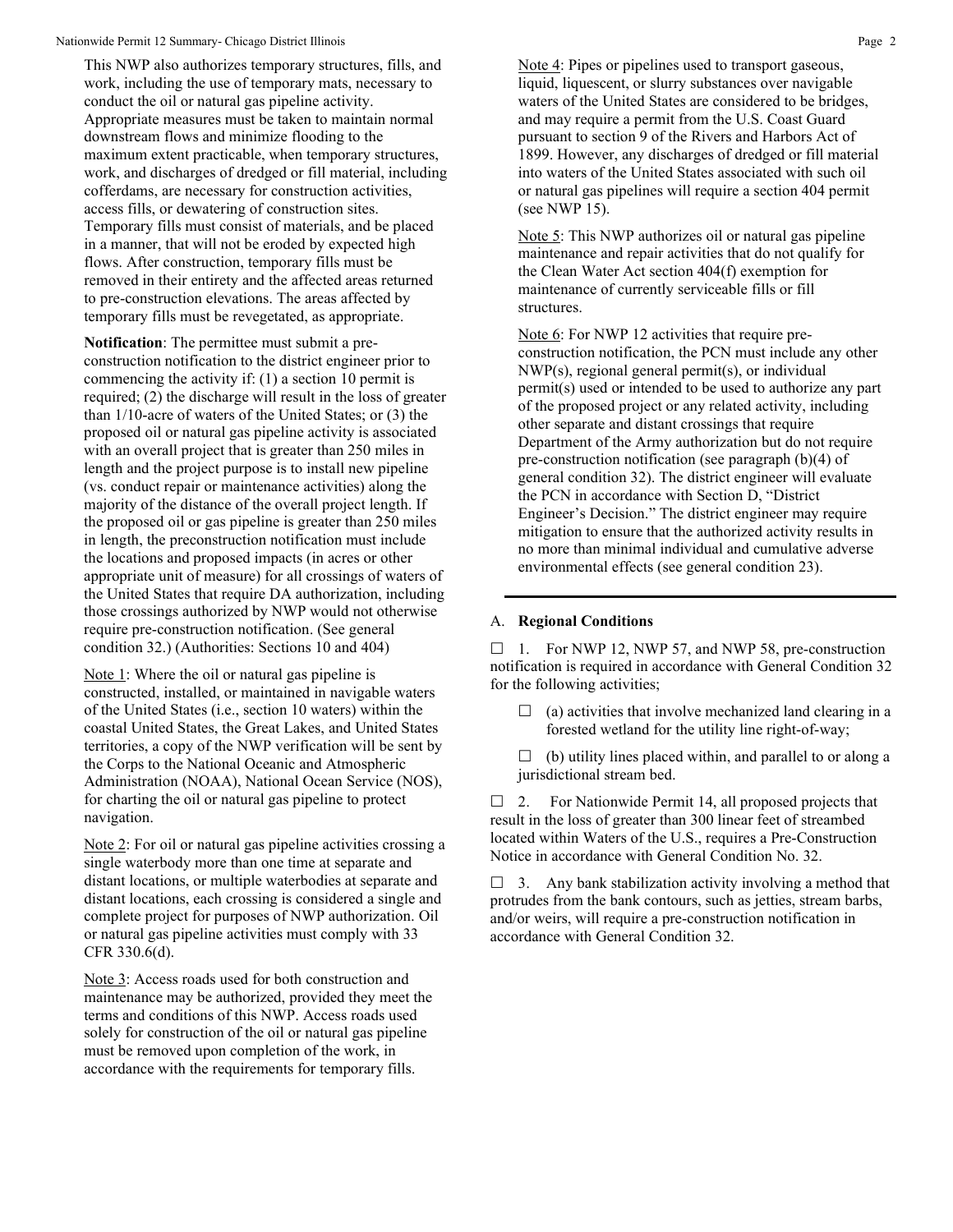This NWP also authorizes temporary structures, fills, and work, including the use of temporary mats, necessary to conduct the oil or natural gas pipeline activity. Appropriate measures must be taken to maintain normal downstream flows and minimize flooding to the maximum extent practicable, when temporary structures, work, and discharges of dredged or fill material, including cofferdams, are necessary for construction activities, access fills, or dewatering of construction sites. Temporary fills must consist of materials, and be placed in a manner, that will not be eroded by expected high flows. After construction, temporary fills must be removed in their entirety and the affected areas returned to pre-construction elevations. The areas affected by temporary fills must be revegetated, as appropriate.

**Notification**: The permittee must submit a preconstruction notification to the district engineer prior to commencing the activity if: (1) a section 10 permit is required; (2) the discharge will result in the loss of greater than 1/10-acre of waters of the United States; or (3) the proposed oil or natural gas pipeline activity is associated with an overall project that is greater than 250 miles in length and the project purpose is to install new pipeline (vs. conduct repair or maintenance activities) along the majority of the distance of the overall project length. If the proposed oil or gas pipeline is greater than 250 miles in length, the preconstruction notification must include the locations and proposed impacts (in acres or other appropriate unit of measure) for all crossings of waters of the United States that require DA authorization, including those crossings authorized by NWP would not otherwise require pre-construction notification. (See general condition 32.) (Authorities: Sections 10 and 404)

Note 1: Where the oil or natural gas pipeline is constructed, installed, or maintained in navigable waters of the United States (i.e., section 10 waters) within the coastal United States, the Great Lakes, and United States territories, a copy of the NWP verification will be sent by the Corps to the National Oceanic and Atmospheric Administration (NOAA), National Ocean Service (NOS), for charting the oil or natural gas pipeline to protect navigation.

Note 2: For oil or natural gas pipeline activities crossing a single waterbody more than one time at separate and distant locations, or multiple waterbodies at separate and distant locations, each crossing is considered a single and complete project for purposes of NWP authorization. Oil or natural gas pipeline activities must comply with 33 CFR 330.6(d).

Note 3: Access roads used for both construction and maintenance may be authorized, provided they meet the terms and conditions of this NWP. Access roads used solely for construction of the oil or natural gas pipeline must be removed upon completion of the work, in accordance with the requirements for temporary fills.

Note 4: Pipes or pipelines used to transport gaseous, liquid, liquescent, or slurry substances over navigable waters of the United States are considered to be bridges, and may require a permit from the U.S. Coast Guard pursuant to section 9 of the Rivers and Harbors Act of 1899. However, any discharges of dredged or fill material into waters of the United States associated with such oil or natural gas pipelines will require a section 404 permit (see NWP 15).

Note 5: This NWP authorizes oil or natural gas pipeline maintenance and repair activities that do not qualify for the Clean Water Act section 404(f) exemption for maintenance of currently serviceable fills or fill structures.

Note 6: For NWP 12 activities that require preconstruction notification, the PCN must include any other NWP(s), regional general permit(s), or individual permit(s) used or intended to be used to authorize any part of the proposed project or any related activity, including other separate and distant crossings that require Department of the Army authorization but do not require pre-construction notification (see paragraph (b)(4) of general condition 32). The district engineer will evaluate the PCN in accordance with Section D, "District Engineer's Decision." The district engineer may require mitigation to ensure that the authorized activity results in no more than minimal individual and cumulative adverse environmental effects (see general condition 23).

### A. **Regional Conditions**

 $\Box$  1. For NWP 12, NWP 57, and NWP 58, pre-construction notification is required in accordance with General Condition 32 for the following activities;

- $\Box$  (a) activities that involve mechanized land clearing in a forested wetland for the utility line right-of-way;
- $\Box$  (b) utility lines placed within, and parallel to or along a jurisdictional stream bed.

 $\Box$  2. For Nationwide Permit 14, all proposed projects that result in the loss of greater than 300 linear feet of streambed located within Waters of the U.S., requires a Pre-Construction Notice in accordance with General Condition No. 32.

 $\Box$  3. Any bank stabilization activity involving a method that protrudes from the bank contours, such as jetties, stream barbs, and/or weirs, will require a pre-construction notification in accordance with General Condition 32.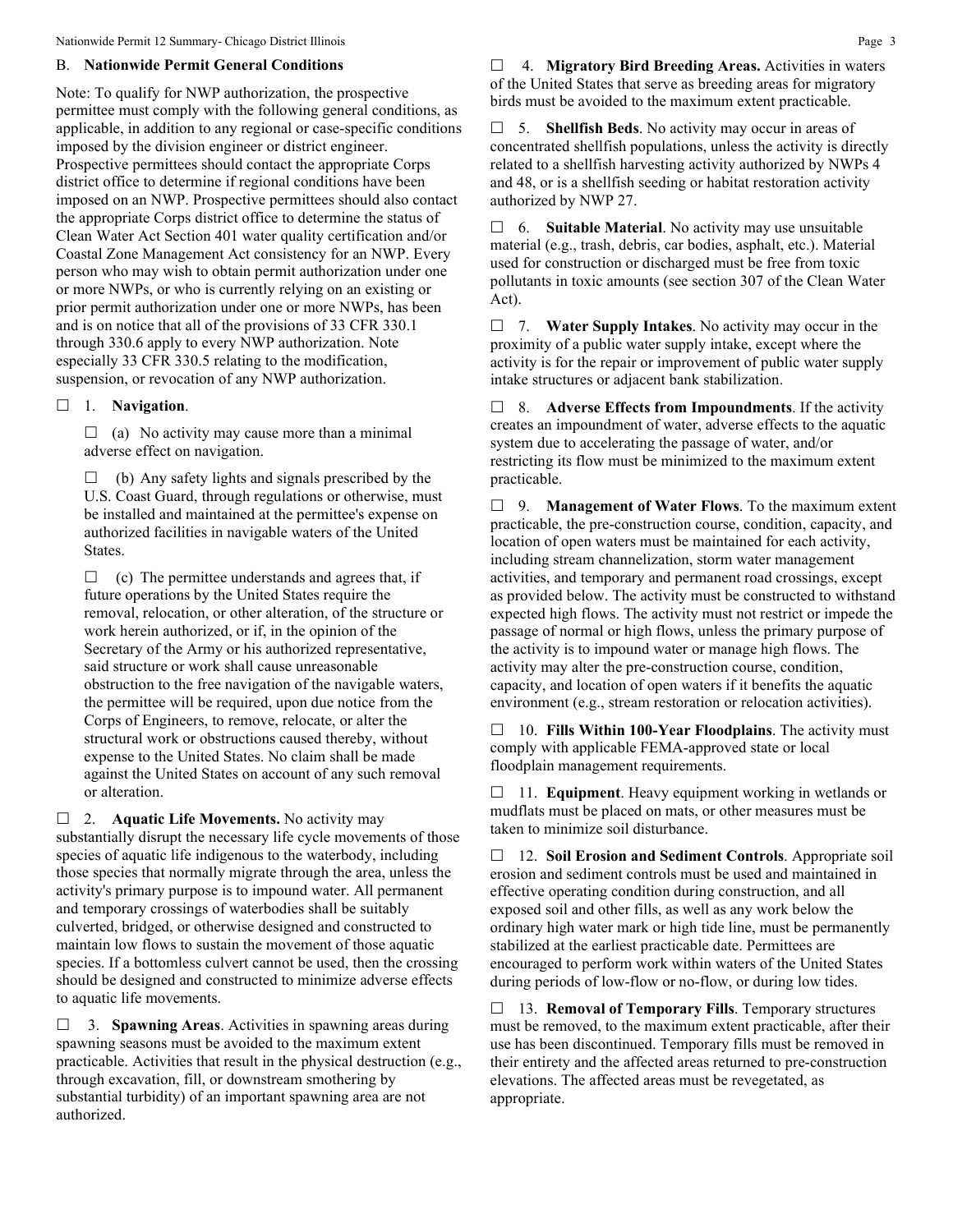### B. **Nationwide Permit General Conditions**

Note: To qualify for NWP authorization, the prospective permittee must comply with the following general conditions, as applicable, in addition to any regional or case-specific conditions imposed by the division engineer or district engineer. Prospective permittees should contact the appropriate Corps district office to determine if regional conditions have been imposed on an NWP. Prospective permittees should also contact the appropriate Corps district office to determine the status of Clean Water Act Section 401 water quality certification and/or Coastal Zone Management Act consistency for an NWP. Every person who may wish to obtain permit authorization under one or more NWPs, or who is currently relying on an existing or prior permit authorization under one or more NWPs, has been and is on notice that all of the provisions of 33 CFR 330.1 through 330.6 apply to every NWP authorization. Note especially 33 CFR 330.5 relating to the modification, suspension, or revocation of any NWP authorization.

## 1. **Navigation**.

 $\Box$  (a) No activity may cause more than a minimal adverse effect on navigation.

 $\Box$  (b) Any safety lights and signals prescribed by the U.S. Coast Guard, through regulations or otherwise, must be installed and maintained at the permittee's expense on authorized facilities in navigable waters of the United States.

 $\Box$  (c) The permittee understands and agrees that, if future operations by the United States require the removal, relocation, or other alteration, of the structure or work herein authorized, or if, in the opinion of the Secretary of the Army or his authorized representative, said structure or work shall cause unreasonable obstruction to the free navigation of the navigable waters, the permittee will be required, upon due notice from the Corps of Engineers, to remove, relocate, or alter the structural work or obstructions caused thereby, without expense to the United States. No claim shall be made against the United States on account of any such removal or alteration.

□ 2. **Aquatic Life Movements.** No activity may substantially disrupt the necessary life cycle movements of those species of aquatic life indigenous to the waterbody, including those species that normally migrate through the area, unless the activity's primary purpose is to impound water. All permanent and temporary crossings of waterbodies shall be suitably culverted, bridged, or otherwise designed and constructed to maintain low flows to sustain the movement of those aquatic species. If a bottomless culvert cannot be used, then the crossing should be designed and constructed to minimize adverse effects to aquatic life movements.

 3. **Spawning Areas**. Activities in spawning areas during spawning seasons must be avoided to the maximum extent practicable. Activities that result in the physical destruction (e.g., through excavation, fill, or downstream smothering by substantial turbidity) of an important spawning area are not authorized.

 4. **Migratory Bird Breeding Areas.** Activities in waters of the United States that serve as breeding areas for migratory birds must be avoided to the maximum extent practicable.

 5. **Shellfish Beds**. No activity may occur in areas of concentrated shellfish populations, unless the activity is directly related to a shellfish harvesting activity authorized by NWPs 4 and 48, or is a shellfish seeding or habitat restoration activity authorized by NWP 27.

 6. **Suitable Material**. No activity may use unsuitable material (e.g., trash, debris, car bodies, asphalt, etc.). Material used for construction or discharged must be free from toxic pollutants in toxic amounts (see section 307 of the Clean Water Act).

 7. **Water Supply Intakes**. No activity may occur in the proximity of a public water supply intake, except where the activity is for the repair or improvement of public water supply intake structures or adjacent bank stabilization.

 8. **Adverse Effects from Impoundments**. If the activity creates an impoundment of water, adverse effects to the aquatic system due to accelerating the passage of water, and/or restricting its flow must be minimized to the maximum extent practicable.

 9. **Management of Water Flows**. To the maximum extent practicable, the pre-construction course, condition, capacity, and location of open waters must be maintained for each activity, including stream channelization, storm water management activities, and temporary and permanent road crossings, except as provided below. The activity must be constructed to withstand expected high flows. The activity must not restrict or impede the passage of normal or high flows, unless the primary purpose of the activity is to impound water or manage high flows. The activity may alter the pre-construction course, condition, capacity, and location of open waters if it benefits the aquatic environment (e.g., stream restoration or relocation activities).

 10. **Fills Within 100-Year Floodplains**. The activity must comply with applicable FEMA-approved state or local floodplain management requirements.

□ 11. **Equipment**. Heavy equipment working in wetlands or mudflats must be placed on mats, or other measures must be taken to minimize soil disturbance.

 12. **Soil Erosion and Sediment Controls**. Appropriate soil erosion and sediment controls must be used and maintained in effective operating condition during construction, and all exposed soil and other fills, as well as any work below the ordinary high water mark or high tide line, must be permanently stabilized at the earliest practicable date. Permittees are encouraged to perform work within waters of the United States during periods of low-flow or no-flow, or during low tides.

 13. **Removal of Temporary Fills**. Temporary structures must be removed, to the maximum extent practicable, after their use has been discontinued. Temporary fills must be removed in their entirety and the affected areas returned to pre-construction elevations. The affected areas must be revegetated, as appropriate.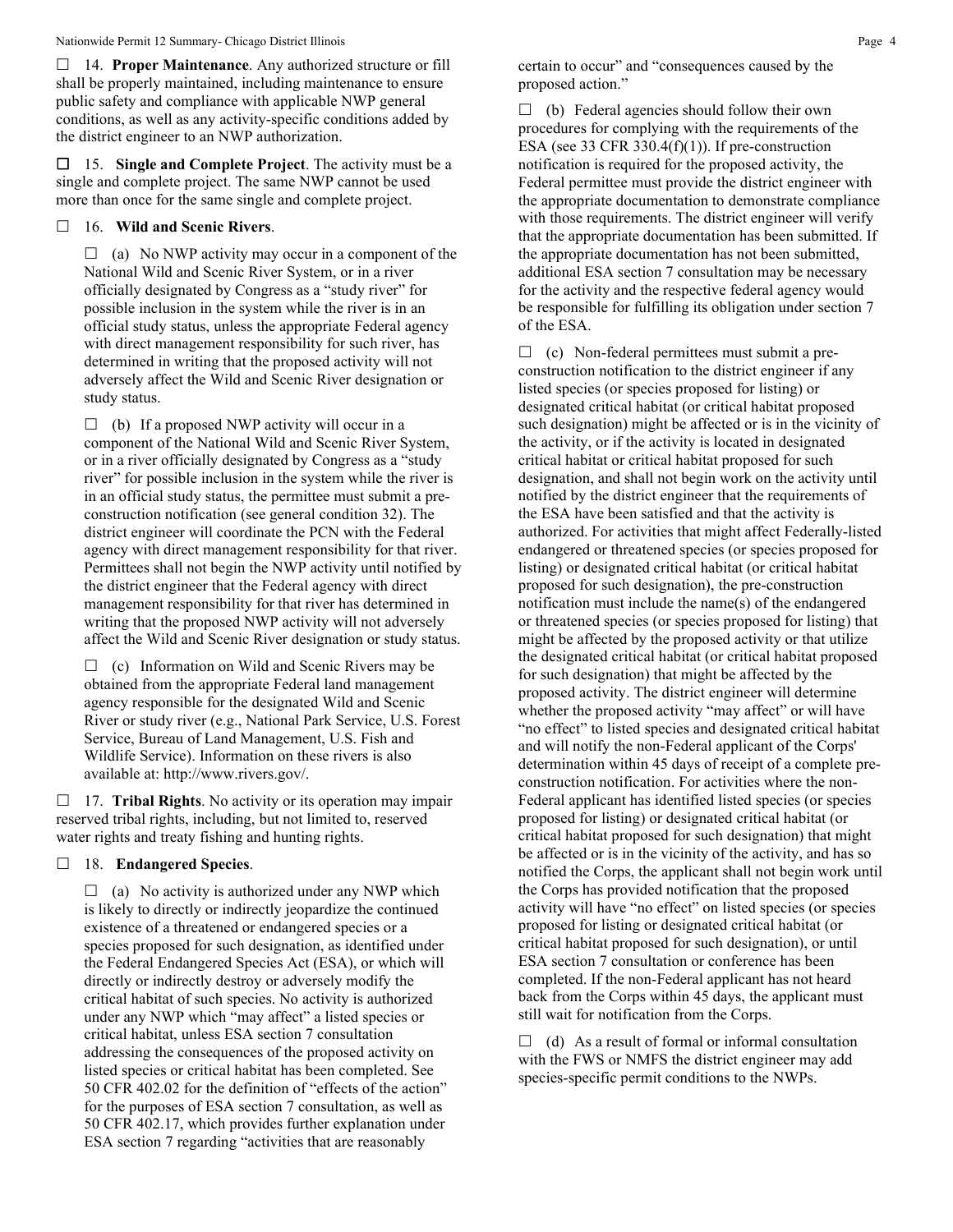14. **Proper Maintenance**. Any authorized structure or fill shall be properly maintained, including maintenance to ensure public safety and compliance with applicable NWP general conditions, as well as any activity-specific conditions added by the district engineer to an NWP authorization.

 15. **Single and Complete Project**. The activity must be a single and complete project. The same NWP cannot be used more than once for the same single and complete project.

## 16. **Wild and Scenic Rivers**.

 $\Box$  (a) No NWP activity may occur in a component of the National Wild and Scenic River System, or in a river officially designated by Congress as a "study river" for possible inclusion in the system while the river is in an official study status, unless the appropriate Federal agency with direct management responsibility for such river, has determined in writing that the proposed activity will not adversely affect the Wild and Scenic River designation or study status.

 $\Box$  (b) If a proposed NWP activity will occur in a component of the National Wild and Scenic River System, or in a river officially designated by Congress as a "study river" for possible inclusion in the system while the river is in an official study status, the permittee must submit a preconstruction notification (see general condition 32). The district engineer will coordinate the PCN with the Federal agency with direct management responsibility for that river. Permittees shall not begin the NWP activity until notified by the district engineer that the Federal agency with direct management responsibility for that river has determined in writing that the proposed NWP activity will not adversely affect the Wild and Scenic River designation or study status.

 $\Box$  (c) Information on Wild and Scenic Rivers may be obtained from the appropriate Federal land management agency responsible for the designated Wild and Scenic River or study river (e.g., National Park Service, U.S. Forest Service, Bureau of Land Management, U.S. Fish and Wildlife Service). Information on these rivers is also available at: http://www.rivers.gov/.

 17. **Tribal Rights**. No activity or its operation may impair reserved tribal rights, including, but not limited to, reserved water rights and treaty fishing and hunting rights.

### 18. **Endangered Species**.

 $\Box$  (a) No activity is authorized under any NWP which is likely to directly or indirectly jeopardize the continued existence of a threatened or endangered species or a species proposed for such designation, as identified under the Federal Endangered Species Act (ESA), or which will directly or indirectly destroy or adversely modify the critical habitat of such species. No activity is authorized under any NWP which "may affect" a listed species or critical habitat, unless ESA section 7 consultation addressing the consequences of the proposed activity on listed species or critical habitat has been completed. See 50 CFR 402.02 for the definition of "effects of the action" for the purposes of ESA section 7 consultation, as well as 50 CFR 402.17, which provides further explanation under ESA section 7 regarding "activities that are reasonably

certain to occur" and "consequences caused by the proposed action."

 $\Box$  (b) Federal agencies should follow their own procedures for complying with the requirements of the ESA (see 33 CFR 330.4(f)(1)). If pre-construction notification is required for the proposed activity, the Federal permittee must provide the district engineer with the appropriate documentation to demonstrate compliance with those requirements. The district engineer will verify that the appropriate documentation has been submitted. If the appropriate documentation has not been submitted, additional ESA section 7 consultation may be necessary for the activity and the respective federal agency would be responsible for fulfilling its obligation under section 7 of the ESA.

 $\Box$  (c) Non-federal permittees must submit a preconstruction notification to the district engineer if any listed species (or species proposed for listing) or designated critical habitat (or critical habitat proposed such designation) might be affected or is in the vicinity of the activity, or if the activity is located in designated critical habitat or critical habitat proposed for such designation, and shall not begin work on the activity until notified by the district engineer that the requirements of the ESA have been satisfied and that the activity is authorized. For activities that might affect Federally-listed endangered or threatened species (or species proposed for listing) or designated critical habitat (or critical habitat proposed for such designation), the pre-construction notification must include the name(s) of the endangered or threatened species (or species proposed for listing) that might be affected by the proposed activity or that utilize the designated critical habitat (or critical habitat proposed for such designation) that might be affected by the proposed activity. The district engineer will determine whether the proposed activity "may affect" or will have "no effect" to listed species and designated critical habitat and will notify the non-Federal applicant of the Corps' determination within 45 days of receipt of a complete preconstruction notification. For activities where the non-Federal applicant has identified listed species (or species proposed for listing) or designated critical habitat (or critical habitat proposed for such designation) that might be affected or is in the vicinity of the activity, and has so notified the Corps, the applicant shall not begin work until the Corps has provided notification that the proposed activity will have "no effect" on listed species (or species proposed for listing or designated critical habitat (or critical habitat proposed for such designation), or until ESA section 7 consultation or conference has been completed. If the non-Federal applicant has not heard back from the Corps within 45 days, the applicant must still wait for notification from the Corps.

 $\Box$  (d) As a result of formal or informal consultation with the FWS or NMFS the district engineer may add species-specific permit conditions to the NWPs.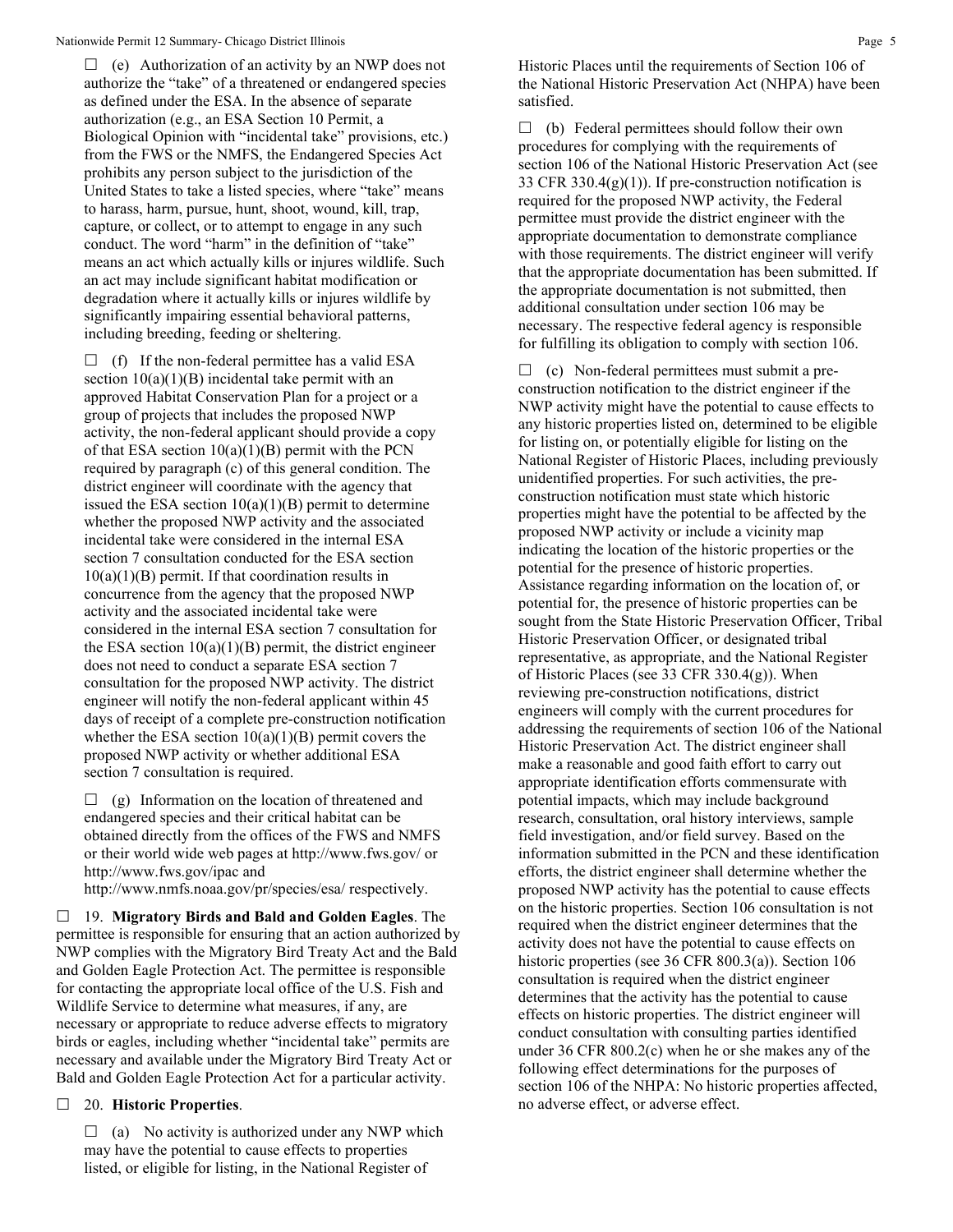$\Box$  (e) Authorization of an activity by an NWP does not authorize the "take" of a threatened or endangered species as defined under the ESA. In the absence of separate authorization (e.g., an ESA Section 10 Permit, a Biological Opinion with "incidental take" provisions, etc.) from the FWS or the NMFS, the Endangered Species Act prohibits any person subject to the jurisdiction of the United States to take a listed species, where "take" means to harass, harm, pursue, hunt, shoot, wound, kill, trap, capture, or collect, or to attempt to engage in any such conduct. The word "harm" in the definition of "take" means an act which actually kills or injures wildlife. Such an act may include significant habitat modification or degradation where it actually kills or injures wildlife by significantly impairing essential behavioral patterns, including breeding, feeding or sheltering.

 $\Box$  (f) If the non-federal permittee has a valid ESA section  $10(a)(1)(B)$  incidental take permit with an approved Habitat Conservation Plan for a project or a group of projects that includes the proposed NWP activity, the non-federal applicant should provide a copy of that ESA section  $10(a)(1)(B)$  permit with the PCN required by paragraph (c) of this general condition. The district engineer will coordinate with the agency that issued the ESA section  $10(a)(1)(B)$  permit to determine whether the proposed NWP activity and the associated incidental take were considered in the internal ESA section 7 consultation conducted for the ESA section  $10(a)(1)(B)$  permit. If that coordination results in concurrence from the agency that the proposed NWP activity and the associated incidental take were considered in the internal ESA section 7 consultation for the ESA section  $10(a)(1)(B)$  permit, the district engineer does not need to conduct a separate ESA section 7 consultation for the proposed NWP activity. The district engineer will notify the non-federal applicant within 45 days of receipt of a complete pre-construction notification whether the ESA section  $10(a)(1)(B)$  permit covers the proposed NWP activity or whether additional ESA section 7 consultation is required.

 $\Box$  (g) Information on the location of threatened and endangered species and their critical habitat can be obtained directly from the offices of the FWS and NMFS or their world wide web pages at http://www.fws.gov/ or http://www.fws.gov/ipac and

http://www.nmfs.noaa.gov/pr/species/esa/ respectively.

 19. **Migratory Birds and Bald and Golden Eagles**. The permittee is responsible for ensuring that an action authorized by NWP complies with the Migratory Bird Treaty Act and the Bald and Golden Eagle Protection Act. The permittee is responsible for contacting the appropriate local office of the U.S. Fish and Wildlife Service to determine what measures, if any, are necessary or appropriate to reduce adverse effects to migratory birds or eagles, including whether "incidental take" permits are necessary and available under the Migratory Bird Treaty Act or Bald and Golden Eagle Protection Act for a particular activity.

## 20. **Historic Properties**.

 $\Box$  (a) No activity is authorized under any NWP which may have the potential to cause effects to properties listed, or eligible for listing, in the National Register of

Historic Places until the requirements of Section 106 of the National Historic Preservation Act (NHPA) have been satisfied.

 $\Box$  (b) Federal permittees should follow their own procedures for complying with the requirements of section 106 of the National Historic Preservation Act (see 33 CFR 330.4(g)(1)). If pre-construction notification is required for the proposed NWP activity, the Federal permittee must provide the district engineer with the appropriate documentation to demonstrate compliance with those requirements. The district engineer will verify that the appropriate documentation has been submitted. If the appropriate documentation is not submitted, then additional consultation under section 106 may be necessary. The respective federal agency is responsible for fulfilling its obligation to comply with section 106.

 $\Box$  (c) Non-federal permittees must submit a preconstruction notification to the district engineer if the NWP activity might have the potential to cause effects to any historic properties listed on, determined to be eligible for listing on, or potentially eligible for listing on the National Register of Historic Places, including previously unidentified properties. For such activities, the preconstruction notification must state which historic properties might have the potential to be affected by the proposed NWP activity or include a vicinity map indicating the location of the historic properties or the potential for the presence of historic properties. Assistance regarding information on the location of, or potential for, the presence of historic properties can be sought from the State Historic Preservation Officer, Tribal Historic Preservation Officer, or designated tribal representative, as appropriate, and the National Register of Historic Places (see 33 CFR 330.4(g)). When reviewing pre-construction notifications, district engineers will comply with the current procedures for addressing the requirements of section 106 of the National Historic Preservation Act. The district engineer shall make a reasonable and good faith effort to carry out appropriate identification efforts commensurate with potential impacts, which may include background research, consultation, oral history interviews, sample field investigation, and/or field survey. Based on the information submitted in the PCN and these identification efforts, the district engineer shall determine whether the proposed NWP activity has the potential to cause effects on the historic properties. Section 106 consultation is not required when the district engineer determines that the activity does not have the potential to cause effects on historic properties (see 36 CFR 800.3(a)). Section 106 consultation is required when the district engineer determines that the activity has the potential to cause effects on historic properties. The district engineer will conduct consultation with consulting parties identified under 36 CFR 800.2(c) when he or she makes any of the following effect determinations for the purposes of section 106 of the NHPA: No historic properties affected, no adverse effect, or adverse effect.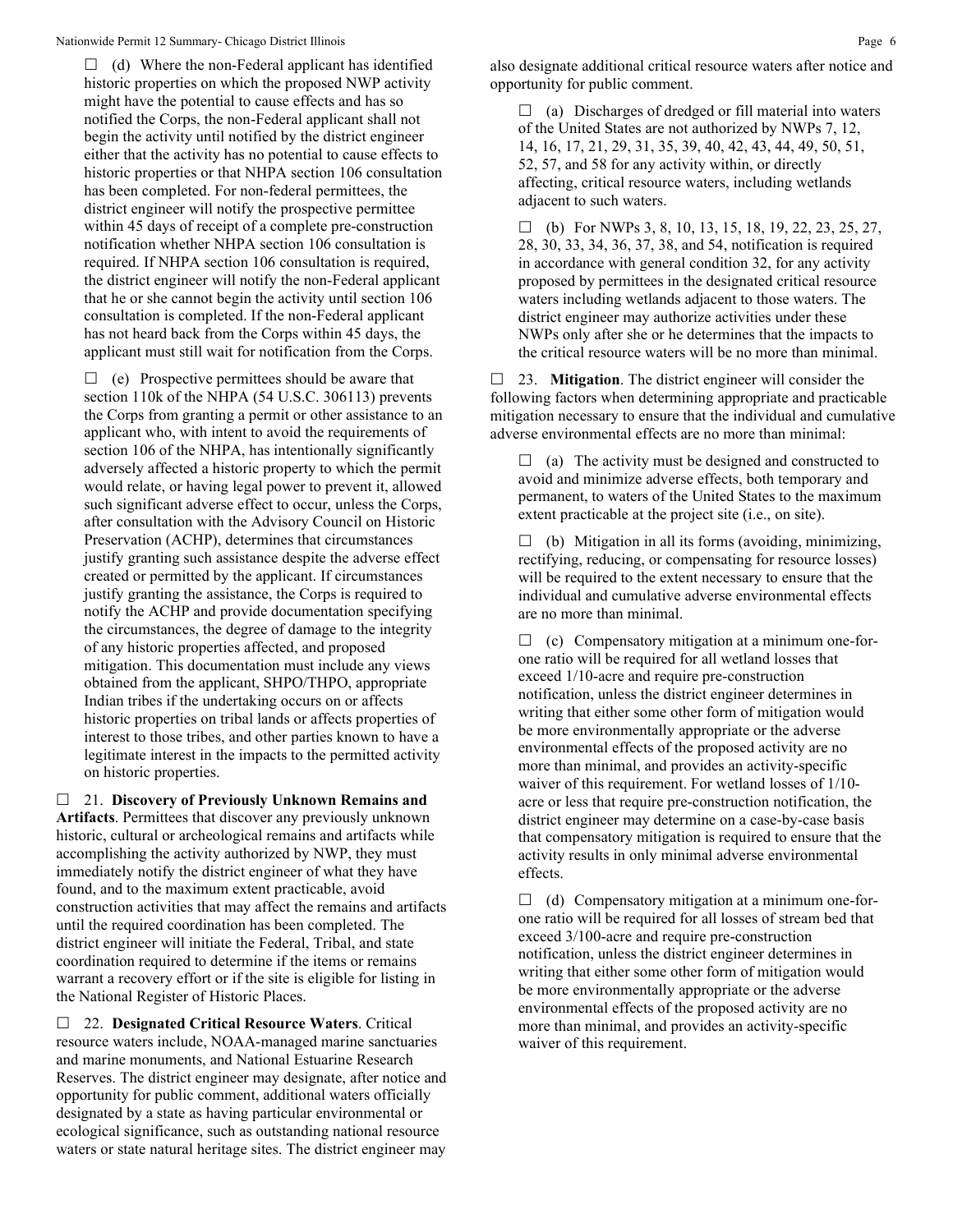$\Box$  (d) Where the non-Federal applicant has identified historic properties on which the proposed NWP activity might have the potential to cause effects and has so notified the Corps, the non-Federal applicant shall not begin the activity until notified by the district engineer either that the activity has no potential to cause effects to historic properties or that NHPA section 106 consultation has been completed. For non-federal permittees, the district engineer will notify the prospective permittee within 45 days of receipt of a complete pre-construction notification whether NHPA section 106 consultation is required. If NHPA section 106 consultation is required, the district engineer will notify the non-Federal applicant that he or she cannot begin the activity until section 106 consultation is completed. If the non-Federal applicant has not heard back from the Corps within 45 days, the applicant must still wait for notification from the Corps.

 $\Box$  (e) Prospective permittees should be aware that section 110k of the NHPA (54 U.S.C. 306113) prevents the Corps from granting a permit or other assistance to an applicant who, with intent to avoid the requirements of section 106 of the NHPA, has intentionally significantly adversely affected a historic property to which the permit would relate, or having legal power to prevent it, allowed such significant adverse effect to occur, unless the Corps, after consultation with the Advisory Council on Historic Preservation (ACHP), determines that circumstances justify granting such assistance despite the adverse effect created or permitted by the applicant. If circumstances justify granting the assistance, the Corps is required to notify the ACHP and provide documentation specifying the circumstances, the degree of damage to the integrity of any historic properties affected, and proposed mitigation. This documentation must include any views obtained from the applicant, SHPO/THPO, appropriate Indian tribes if the undertaking occurs on or affects historic properties on tribal lands or affects properties of interest to those tribes, and other parties known to have a legitimate interest in the impacts to the permitted activity on historic properties.

 21. **Discovery of Previously Unknown Remains and Artifacts**. Permittees that discover any previously unknown historic, cultural or archeological remains and artifacts while accomplishing the activity authorized by NWP, they must immediately notify the district engineer of what they have found, and to the maximum extent practicable, avoid construction activities that may affect the remains and artifacts until the required coordination has been completed. The district engineer will initiate the Federal, Tribal, and state coordination required to determine if the items or remains warrant a recovery effort or if the site is eligible for listing in the National Register of Historic Places.

 22. **Designated Critical Resource Waters**. Critical resource waters include, NOAA-managed marine sanctuaries and marine monuments, and National Estuarine Research Reserves. The district engineer may designate, after notice and opportunity for public comment, additional waters officially designated by a state as having particular environmental or ecological significance, such as outstanding national resource waters or state natural heritage sites. The district engineer may

 $\Box$  (a) Discharges of dredged or fill material into waters of the United States are not authorized by NWPs 7, 12, 14, 16, 17, 21, 29, 31, 35, 39, 40, 42, 43, 44, 49, 50, 51, 52, 57, and 58 for any activity within, or directly affecting, critical resource waters, including wetlands adjacent to such waters.

 $\Box$  (b) For NWPs 3, 8, 10, 13, 15, 18, 19, 22, 23, 25, 27, 28, 30, 33, 34, 36, 37, 38, and 54, notification is required in accordance with general condition 32, for any activity proposed by permittees in the designated critical resource waters including wetlands adjacent to those waters. The district engineer may authorize activities under these NWPs only after she or he determines that the impacts to the critical resource waters will be no more than minimal.

 23. **Mitigation**. The district engineer will consider the following factors when determining appropriate and practicable mitigation necessary to ensure that the individual and cumulative adverse environmental effects are no more than minimal:

 $\Box$  (a) The activity must be designed and constructed to avoid and minimize adverse effects, both temporary and permanent, to waters of the United States to the maximum extent practicable at the project site (i.e., on site).

 $\Box$  (b) Mitigation in all its forms (avoiding, minimizing, rectifying, reducing, or compensating for resource losses) will be required to the extent necessary to ensure that the individual and cumulative adverse environmental effects are no more than minimal.

 $\Box$  (c) Compensatory mitigation at a minimum one-forone ratio will be required for all wetland losses that exceed 1/10-acre and require pre-construction notification, unless the district engineer determines in writing that either some other form of mitigation would be more environmentally appropriate or the adverse environmental effects of the proposed activity are no more than minimal, and provides an activity-specific waiver of this requirement. For wetland losses of 1/10 acre or less that require pre-construction notification, the district engineer may determine on a case-by-case basis that compensatory mitigation is required to ensure that the activity results in only minimal adverse environmental effects.

 $\Box$  (d) Compensatory mitigation at a minimum one-forone ratio will be required for all losses of stream bed that exceed 3/100-acre and require pre-construction notification, unless the district engineer determines in writing that either some other form of mitigation would be more environmentally appropriate or the adverse environmental effects of the proposed activity are no more than minimal, and provides an activity-specific waiver of this requirement.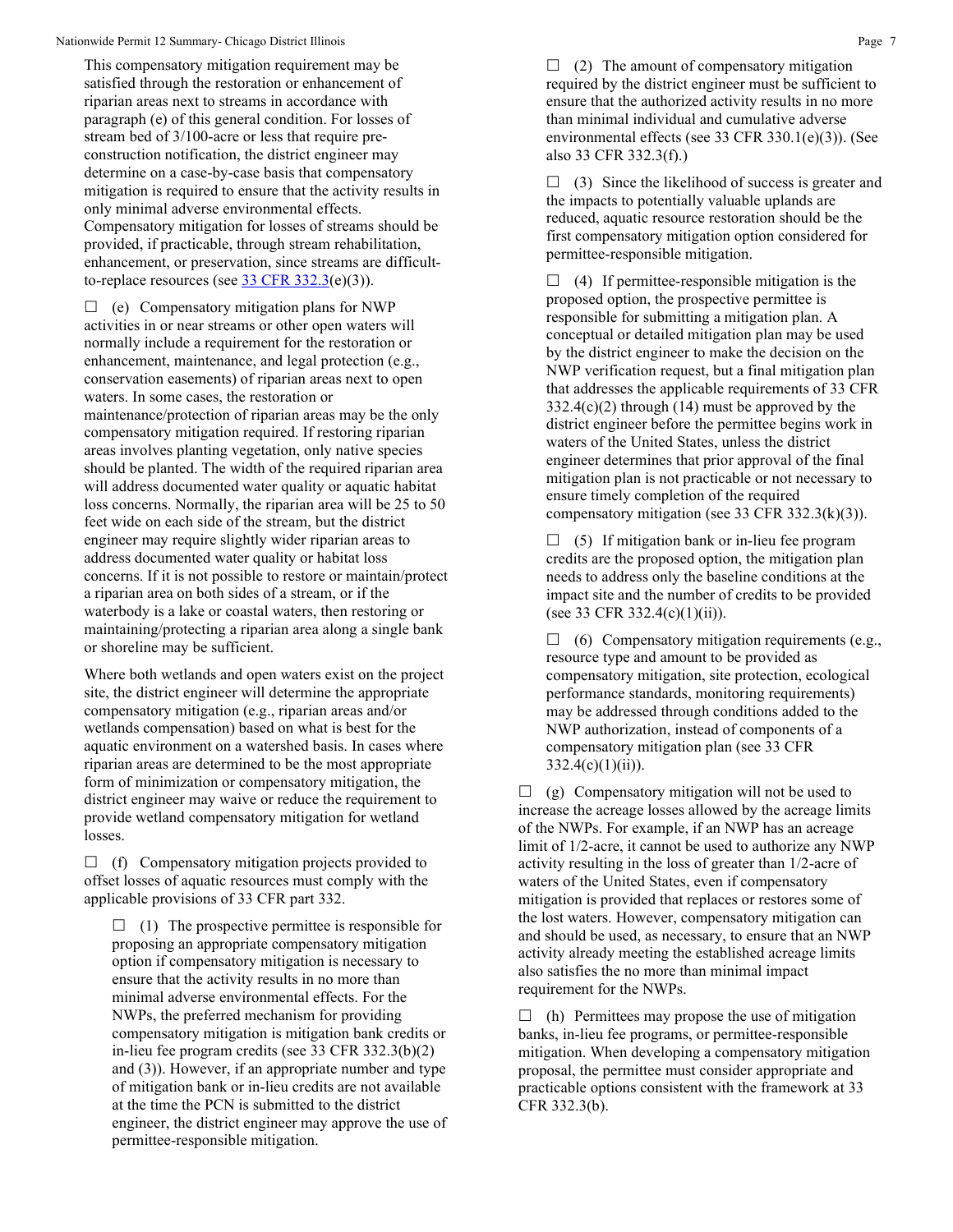This compensatory mitigation requirement may be satisfied through the restoration or enhancement of riparian areas next to streams in accordance with paragraph (e) of this general condition. For losses of stream bed of 3/100-acre or less that require preconstruction notification, the district engineer may determine on a case-by-case basis that compensatory mitigation is required to ensure that the activity results in only minimal adverse environmental effects. Compensatory mitigation for losses of streams should be provided, if practicable, through stream rehabilitation, enhancement, or preservation, since streams are difficultto-replace resources (see  $33 \text{ CFR } 332.3(e)(3)$ ).

 $\Box$  (e) Compensatory mitigation plans for NWP activities in or near streams or other open waters will normally include a requirement for the restoration or enhancement, maintenance, and legal protection (e.g., conservation easements) of riparian areas next to open waters. In some cases, the restoration or maintenance/protection of riparian areas may be the only compensatory mitigation required. If restoring riparian areas involves planting vegetation, only native species should be planted. The width of the required riparian area will address documented water quality or aquatic habitat loss concerns. Normally, the riparian area will be 25 to 50 feet wide on each side of the stream, but the district engineer may require slightly wider riparian areas to address documented water quality or habitat loss concerns. If it is not possible to restore or maintain/protect a riparian area on both sides of a stream, or if the waterbody is a lake or coastal waters, then restoring or maintaining/protecting a riparian area along a single bank or shoreline may be sufficient.

Where both wetlands and open waters exist on the project site, the district engineer will determine the appropriate compensatory mitigation (e.g., riparian areas and/or wetlands compensation) based on what is best for the aquatic environment on a watershed basis. In cases where riparian areas are determined to be the most appropriate form of minimization or compensatory mitigation, the district engineer may waive or reduce the requirement to provide wetland compensatory mitigation for wetland losses.

 $\Box$  (f) Compensatory mitigation projects provided to offset losses of aquatic resources must comply with the applicable provisions of 33 CFR part 332.

 $\Box$  (1) The prospective permittee is responsible for proposing an appropriate compensatory mitigation option if compensatory mitigation is necessary to ensure that the activity results in no more than minimal adverse environmental effects. For the NWPs, the preferred mechanism for providing compensatory mitigation is mitigation bank credits or in-lieu fee program credits (see 33 CFR 332.3(b)(2) and (3)). However, if an appropriate number and type of mitigation bank or in-lieu credits are not available at the time the PCN is submitted to the district engineer, the district engineer may approve the use of permittee-responsible mitigation.

 $\Box$  (2) The amount of compensatory mitigation required by the district engineer must be sufficient to ensure that the authorized activity results in no more than minimal individual and cumulative adverse environmental effects (see 33 CFR 330.1(e)(3)). (See also 33 CFR 332.3(f).)

 $\Box$  (3) Since the likelihood of success is greater and the impacts to potentially valuable uplands are reduced, aquatic resource restoration should be the first compensatory mitigation option considered for permittee-responsible mitigation.

 $\Box$  (4) If permittee-responsible mitigation is the proposed option, the prospective permittee is responsible for submitting a mitigation plan. A conceptual or detailed mitigation plan may be used by the district engineer to make the decision on the NWP verification request, but a final mitigation plan that addresses the applicable requirements of 33 CFR  $332.4(c)(2)$  through (14) must be approved by the district engineer before the permittee begins work in waters of the United States, unless the district engineer determines that prior approval of the final mitigation plan is not practicable or not necessary to ensure timely completion of the required compensatory mitigation (see 33 CFR 332.3(k)(3)).

 $\Box$  (5) If mitigation bank or in-lieu fee program credits are the proposed option, the mitigation plan needs to address only the baseline conditions at the impact site and the number of credits to be provided (see 33 CFR 332.4(c)(1)(ii)).

 $\Box$  (6) Compensatory mitigation requirements (e.g., resource type and amount to be provided as compensatory mitigation, site protection, ecological performance standards, monitoring requirements) may be addressed through conditions added to the NWP authorization, instead of components of a compensatory mitigation plan (see 33 CFR  $332.4(c)(1)(ii)$ .

 $\Box$  (g) Compensatory mitigation will not be used to increase the acreage losses allowed by the acreage limits of the NWPs. For example, if an NWP has an acreage limit of 1/2-acre, it cannot be used to authorize any NWP activity resulting in the loss of greater than 1/2-acre of waters of the United States, even if compensatory mitigation is provided that replaces or restores some of the lost waters. However, compensatory mitigation can and should be used, as necessary, to ensure that an NWP activity already meeting the established acreage limits also satisfies the no more than minimal impact requirement for the NWPs.

 $\Box$  (h) Permittees may propose the use of mitigation banks, in-lieu fee programs, or permittee-responsible mitigation. When developing a compensatory mitigation proposal, the permittee must consider appropriate and practicable options consistent with the framework at 33 CFR 332.3(b).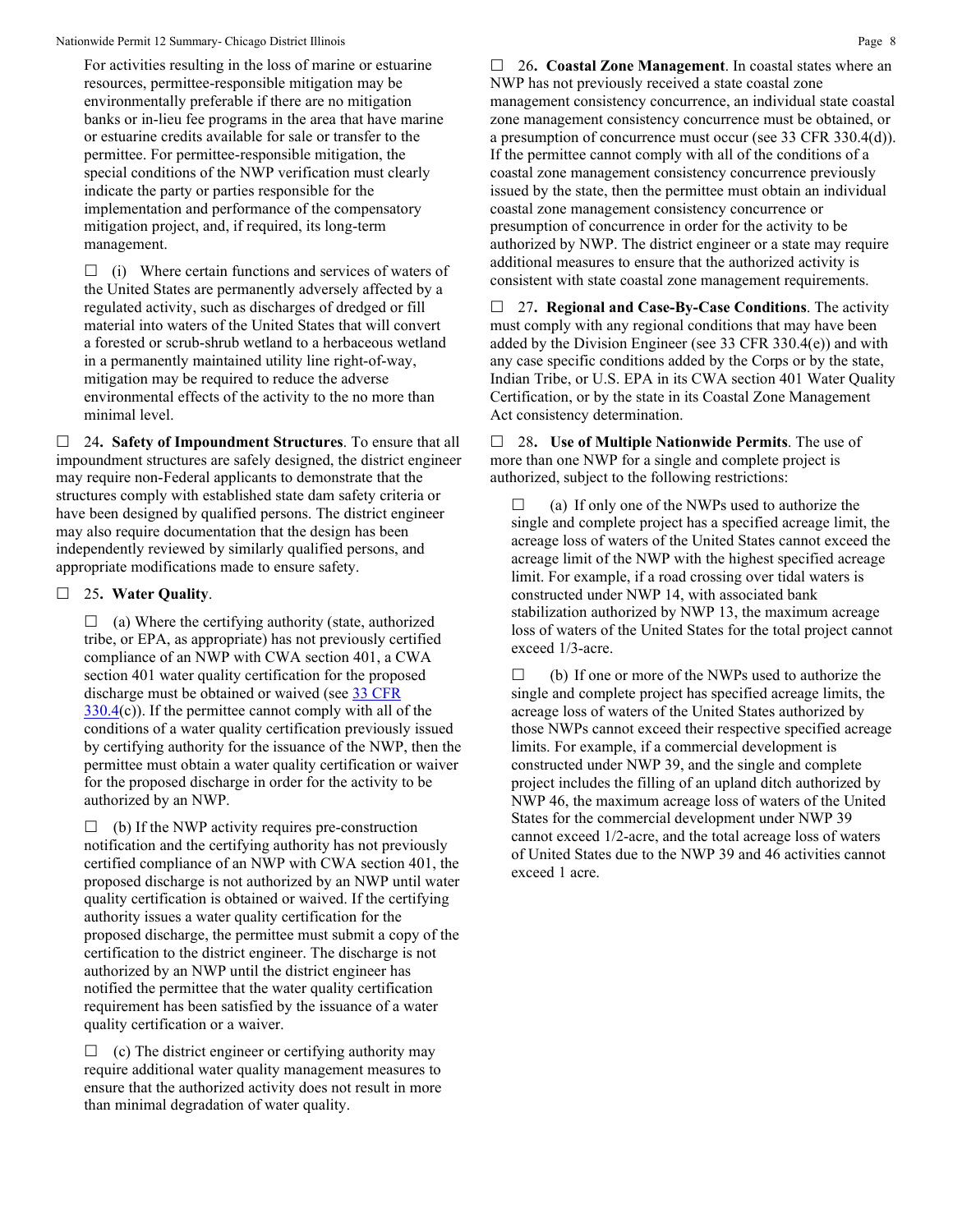For activities resulting in the loss of marine or estuarine resources, permittee-responsible mitigation may be environmentally preferable if there are no mitigation banks or in-lieu fee programs in the area that have marine or estuarine credits available for sale or transfer to the permittee. For permittee-responsible mitigation, the special conditions of the NWP verification must clearly indicate the party or parties responsible for the implementation and performance of the compensatory mitigation project, and, if required, its long-term management.

 $\Box$  (i) Where certain functions and services of waters of the United States are permanently adversely affected by a regulated activity, such as discharges of dredged or fill material into waters of the United States that will convert a forested or scrub-shrub wetland to a herbaceous wetland in a permanently maintained utility line right-of-way, mitigation may be required to reduce the adverse environmental effects of the activity to the no more than minimal level.

 24**. Safety of Impoundment Structures**. To ensure that all impoundment structures are safely designed, the district engineer may require non-Federal applicants to demonstrate that the structures comply with established state dam safety criteria or have been designed by qualified persons. The district engineer may also require documentation that the design has been independently reviewed by similarly qualified persons, and appropriate modifications made to ensure safety.

# 25**. Water Quality**.

 $\Box$  (a) Where the certifying authority (state, authorized tribe, or EPA, as appropriate) has not previously certified compliance of an NWP with CWA section 401, a CWA section 401 water quality certification for the proposed discharge must be obtained or waived (see [33 CFR](https://www.federalregister.gov/select-citation/2021/01/13/33-CFR-330.4)   $330.4(c)$  $330.4(c)$ ). If the permittee cannot comply with all of the conditions of a water quality certification previously issued by certifying authority for the issuance of the NWP, then the permittee must obtain a water quality certification or waiver for the proposed discharge in order for the activity to be authorized by an NWP.

 $\Box$  (b) If the NWP activity requires pre-construction notification and the certifying authority has not previously certified compliance of an NWP with CWA section 401, the proposed discharge is not authorized by an NWP until water quality certification is obtained or waived. If the certifying authority issues a water quality certification for the proposed discharge, the permittee must submit a copy of the certification to the district engineer. The discharge is not authorized by an NWP until the district engineer has notified the permittee that the water quality certification requirement has been satisfied by the issuance of a water quality certification or a waiver.

 $\Box$  (c) The district engineer or certifying authority may require additional water quality management measures to ensure that the authorized activity does not result in more than minimal degradation of water quality.

 26**. Coastal Zone Management**. In coastal states where an NWP has not previously received a state coastal zone management consistency concurrence, an individual state coastal zone management consistency concurrence must be obtained, or a presumption of concurrence must occur (see 33 CFR 330.4(d)). If the permittee cannot comply with all of the conditions of a coastal zone management consistency concurrence previously issued by the state, then the permittee must obtain an individual coastal zone management consistency concurrence or presumption of concurrence in order for the activity to be authorized by NWP. The district engineer or a state may require additional measures to ensure that the authorized activity is consistent with state coastal zone management requirements.

 27**. Regional and Case-By-Case Conditions**. The activity must comply with any regional conditions that may have been added by the Division Engineer (see 33 CFR 330.4(e)) and with any case specific conditions added by the Corps or by the state, Indian Tribe, or U.S. EPA in its CWA section 401 Water Quality Certification, or by the state in its Coastal Zone Management Act consistency determination.

 28**. Use of Multiple Nationwide Permits**. The use of more than one NWP for a single and complete project is authorized, subject to the following restrictions:

 $\Box$  (a) If only one of the NWPs used to authorize the single and complete project has a specified acreage limit, the acreage loss of waters of the United States cannot exceed the acreage limit of the NWP with the highest specified acreage limit. For example, if a road crossing over tidal waters is constructed under NWP 14, with associated bank stabilization authorized by NWP 13, the maximum acreage loss of waters of the United States for the total project cannot exceed 1/3-acre.

 $\Box$  (b) If one or more of the NWPs used to authorize the single and complete project has specified acreage limits, the acreage loss of waters of the United States authorized by those NWPs cannot exceed their respective specified acreage limits. For example, if a commercial development is constructed under NWP 39, and the single and complete project includes the filling of an upland ditch authorized by NWP 46, the maximum acreage loss of waters of the United States for the commercial development under NWP 39 cannot exceed 1/2-acre, and the total acreage loss of waters of United States due to the NWP 39 and 46 activities cannot exceed 1 acre.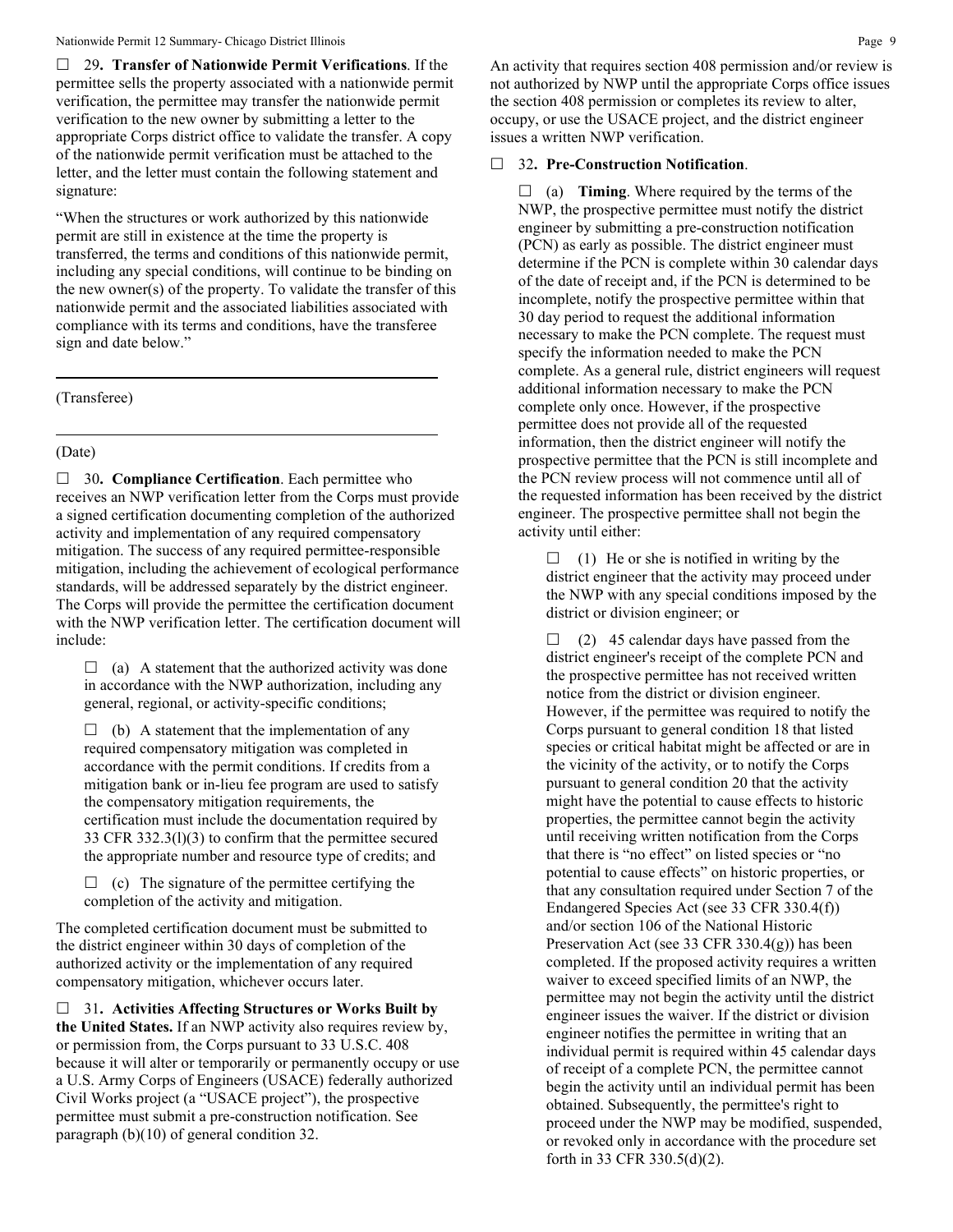29**. Transfer of Nationwide Permit Verifications**. If the permittee sells the property associated with a nationwide permit verification, the permittee may transfer the nationwide permit verification to the new owner by submitting a letter to the appropriate Corps district office to validate the transfer. A copy of the nationwide permit verification must be attached to the letter, and the letter must contain the following statement and signature:

"When the structures or work authorized by this nationwide permit are still in existence at the time the property is transferred, the terms and conditions of this nationwide permit, including any special conditions, will continue to be binding on the new owner(s) of the property. To validate the transfer of this nationwide permit and the associated liabilities associated with compliance with its terms and conditions, have the transferee sign and date below."

(Transferee)

## (Date)

□ 30. **Compliance Certification**. Each permittee who receives an NWP verification letter from the Corps must provide a signed certification documenting completion of the authorized activity and implementation of any required compensatory mitigation. The success of any required permittee-responsible mitigation, including the achievement of ecological performance standards, will be addressed separately by the district engineer. The Corps will provide the permittee the certification document with the NWP verification letter. The certification document will include:

 $\Box$  (a) A statement that the authorized activity was done in accordance with the NWP authorization, including any general, regional, or activity-specific conditions;

 $\Box$  (b) A statement that the implementation of any required compensatory mitigation was completed in accordance with the permit conditions. If credits from a mitigation bank or in-lieu fee program are used to satisfy the compensatory mitigation requirements, the certification must include the documentation required by 33 CFR 332.3(l)(3) to confirm that the permittee secured the appropriate number and resource type of credits; and

 $\Box$  (c) The signature of the permittee certifying the completion of the activity and mitigation.

The completed certification document must be submitted to the district engineer within 30 days of completion of the authorized activity or the implementation of any required compensatory mitigation, whichever occurs later.

 31**. Activities Affecting Structures or Works Built by the United States.** If an NWP activity also requires review by, or permission from, the Corps pursuant to 33 U.S.C. 408 because it will alter or temporarily or permanently occupy or use a U.S. Army Corps of Engineers (USACE) federally authorized Civil Works project (a "USACE project"), the prospective permittee must submit a pre-construction notification. See paragraph (b)(10) of general condition 32.

An activity that requires section 408 permission and/or review is not authorized by NWP until the appropriate Corps office issues the section 408 permission or completes its review to alter, occupy, or use the USACE project, and the district engineer issues a written NWP verification.

#### 32**. Pre-Construction Notification**.

 $\Box$  (a) **Timing**. Where required by the terms of the NWP, the prospective permittee must notify the district engineer by submitting a pre-construction notification (PCN) as early as possible. The district engineer must determine if the PCN is complete within 30 calendar days of the date of receipt and, if the PCN is determined to be incomplete, notify the prospective permittee within that 30 day period to request the additional information necessary to make the PCN complete. The request must specify the information needed to make the PCN complete. As a general rule, district engineers will request additional information necessary to make the PCN complete only once. However, if the prospective permittee does not provide all of the requested information, then the district engineer will notify the prospective permittee that the PCN is still incomplete and the PCN review process will not commence until all of the requested information has been received by the district engineer. The prospective permittee shall not begin the activity until either:

 $\Box$  (1) He or she is notified in writing by the district engineer that the activity may proceed under the NWP with any special conditions imposed by the district or division engineer; or

 $\Box$  (2) 45 calendar days have passed from the district engineer's receipt of the complete PCN and the prospective permittee has not received written notice from the district or division engineer. However, if the permittee was required to notify the Corps pursuant to general condition 18 that listed species or critical habitat might be affected or are in the vicinity of the activity, or to notify the Corps pursuant to general condition 20 that the activity might have the potential to cause effects to historic properties, the permittee cannot begin the activity until receiving written notification from the Corps that there is "no effect" on listed species or "no potential to cause effects" on historic properties, or that any consultation required under Section 7 of the Endangered Species Act (see 33 CFR 330.4(f)) and/or section 106 of the National Historic Preservation Act (see 33 CFR 330.4(g)) has been completed. If the proposed activity requires a written waiver to exceed specified limits of an NWP, the permittee may not begin the activity until the district engineer issues the waiver. If the district or division engineer notifies the permittee in writing that an individual permit is required within 45 calendar days of receipt of a complete PCN, the permittee cannot begin the activity until an individual permit has been obtained. Subsequently, the permittee's right to proceed under the NWP may be modified, suspended, or revoked only in accordance with the procedure set forth in 33 CFR 330.5(d)(2).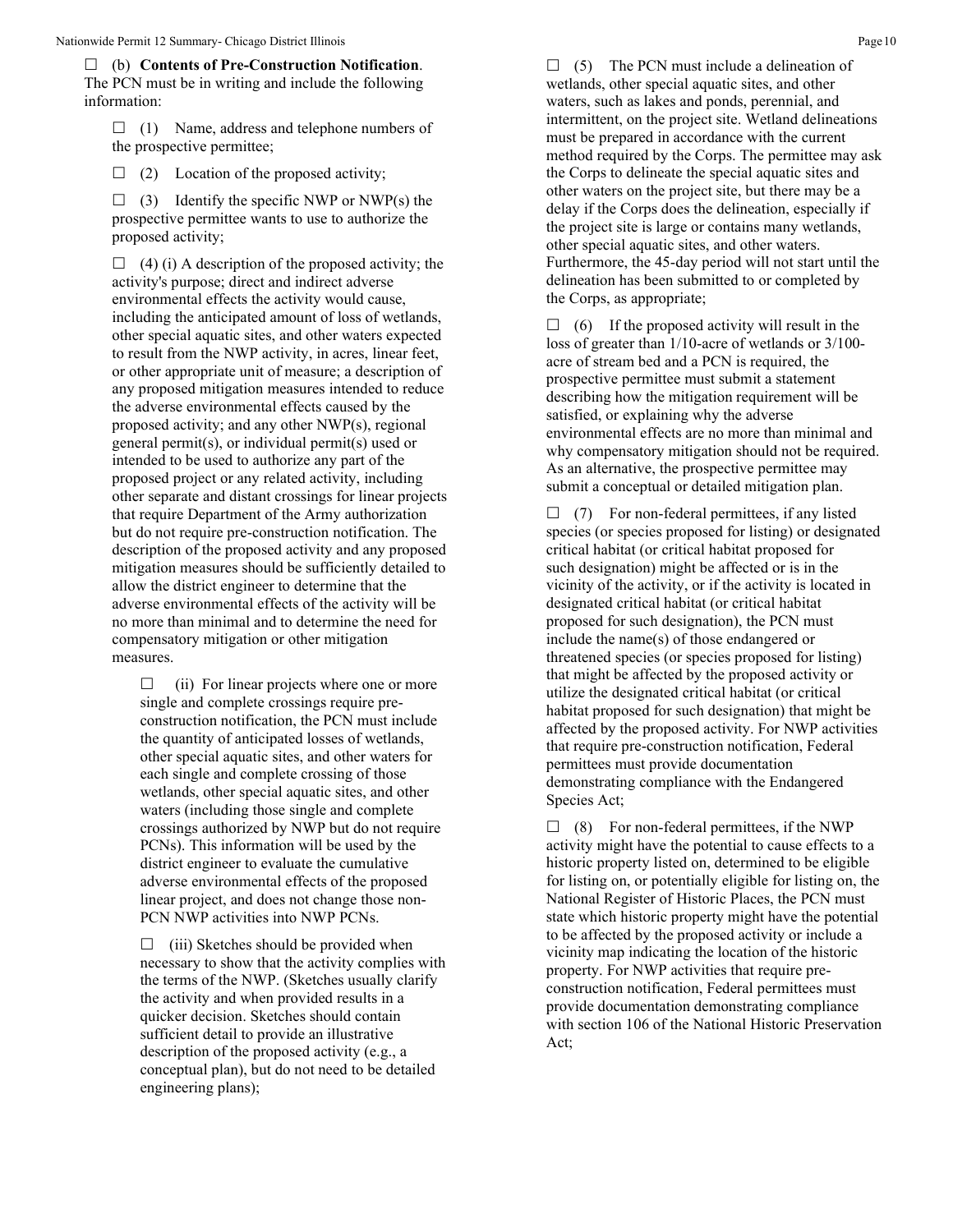(b) **Contents of Pre-Construction Notification**. The PCN must be in writing and include the following information:

 $\Box$  (1) Name, address and telephone numbers of the prospective permittee;

 $\Box$  (2) Location of the proposed activity;

 $\Box$  (3) Identify the specific NWP or NWP(s) the prospective permittee wants to use to authorize the proposed activity;

 $\Box$  (4) (i) A description of the proposed activity; the activity's purpose; direct and indirect adverse environmental effects the activity would cause, including the anticipated amount of loss of wetlands, other special aquatic sites, and other waters expected to result from the NWP activity, in acres, linear feet, or other appropriate unit of measure; a description of any proposed mitigation measures intended to reduce the adverse environmental effects caused by the proposed activity; and any other NWP(s), regional general permit(s), or individual permit(s) used or intended to be used to authorize any part of the proposed project or any related activity, including other separate and distant crossings for linear projects that require Department of the Army authorization but do not require pre-construction notification. The description of the proposed activity and any proposed mitigation measures should be sufficiently detailed to allow the district engineer to determine that the adverse environmental effects of the activity will be no more than minimal and to determine the need for compensatory mitigation or other mitigation measures.

 $\Box$  (ii) For linear projects where one or more single and complete crossings require preconstruction notification, the PCN must include the quantity of anticipated losses of wetlands, other special aquatic sites, and other waters for each single and complete crossing of those wetlands, other special aquatic sites, and other waters (including those single and complete crossings authorized by NWP but do not require PCNs). This information will be used by the district engineer to evaluate the cumulative adverse environmental effects of the proposed linear project, and does not change those non-PCN NWP activities into NWP PCNs.

 $\Box$  (iii) Sketches should be provided when necessary to show that the activity complies with the terms of the NWP. (Sketches usually clarify the activity and when provided results in a quicker decision. Sketches should contain sufficient detail to provide an illustrative description of the proposed activity (e.g., a conceptual plan), but do not need to be detailed engineering plans);

 $\Box$  (5) The PCN must include a delineation of wetlands, other special aquatic sites, and other waters, such as lakes and ponds, perennial, and intermittent, on the project site. Wetland delineations must be prepared in accordance with the current method required by the Corps. The permittee may ask the Corps to delineate the special aquatic sites and other waters on the project site, but there may be a delay if the Corps does the delineation, especially if the project site is large or contains many wetlands, other special aquatic sites, and other waters. Furthermore, the 45-day period will not start until the delineation has been submitted to or completed by the Corps, as appropriate;

 $\Box$  (6) If the proposed activity will result in the loss of greater than 1/10-acre of wetlands or 3/100 acre of stream bed and a PCN is required, the prospective permittee must submit a statement describing how the mitigation requirement will be satisfied, or explaining why the adverse environmental effects are no more than minimal and why compensatory mitigation should not be required. As an alternative, the prospective permittee may submit a conceptual or detailed mitigation plan.

 $\Box$  (7) For non-federal permittees, if any listed species (or species proposed for listing) or designated critical habitat (or critical habitat proposed for such designation) might be affected or is in the vicinity of the activity, or if the activity is located in designated critical habitat (or critical habitat proposed for such designation), the PCN must include the name(s) of those endangered or threatened species (or species proposed for listing) that might be affected by the proposed activity or utilize the designated critical habitat (or critical habitat proposed for such designation) that might be affected by the proposed activity. For NWP activities that require pre-construction notification, Federal permittees must provide documentation demonstrating compliance with the Endangered Species Act;

 $\Box$  (8) For non-federal permittees, if the NWP activity might have the potential to cause effects to a historic property listed on, determined to be eligible for listing on, or potentially eligible for listing on, the National Register of Historic Places, the PCN must state which historic property might have the potential to be affected by the proposed activity or include a vicinity map indicating the location of the historic property. For NWP activities that require preconstruction notification, Federal permittees must provide documentation demonstrating compliance with section 106 of the National Historic Preservation Act;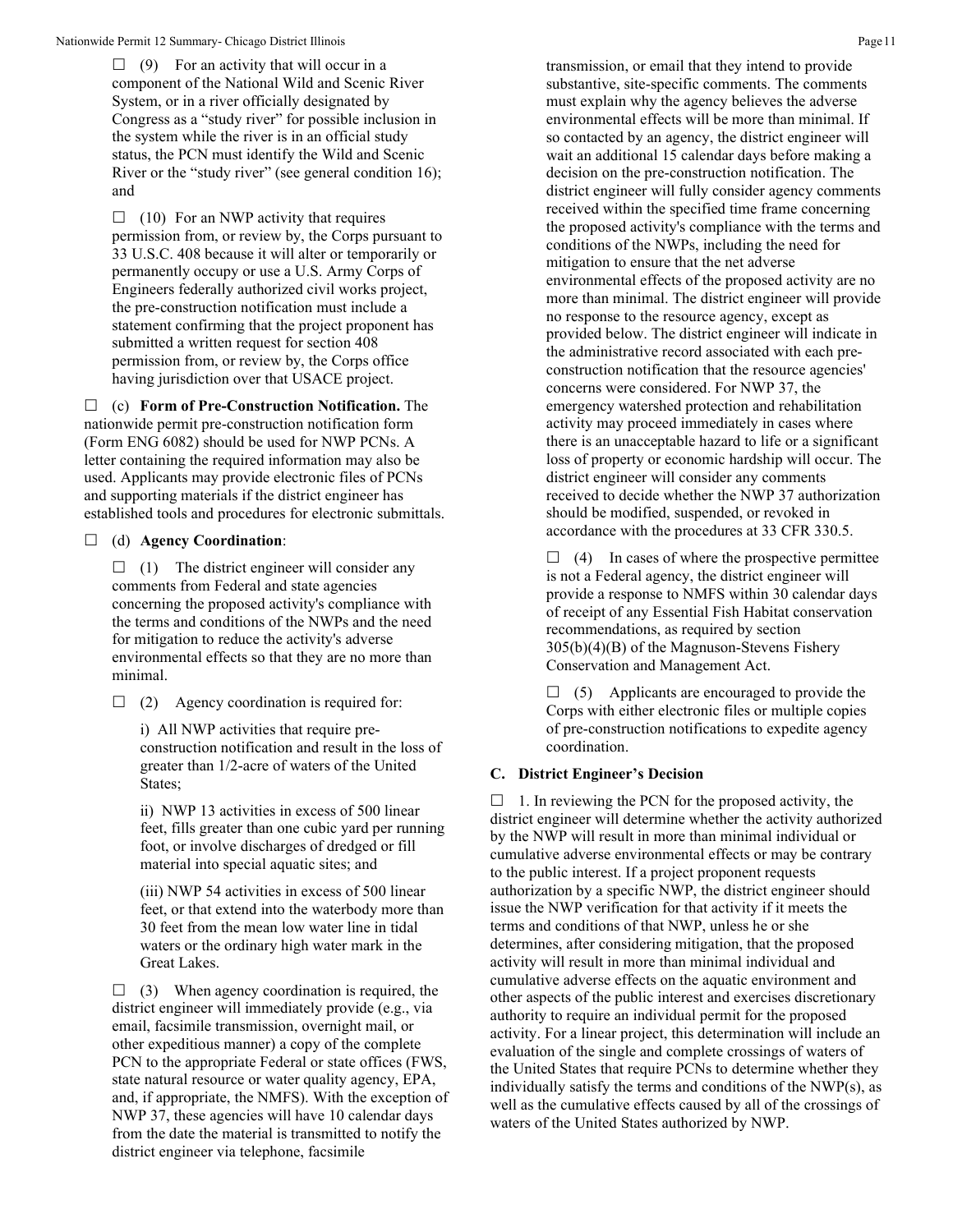$\Box$  (9) For an activity that will occur in a component of the National Wild and Scenic River System, or in a river officially designated by Congress as a "study river" for possible inclusion in the system while the river is in an official study status, the PCN must identify the Wild and Scenic River or the "study river" (see general condition 16); and

 $\Box$  (10) For an NWP activity that requires permission from, or review by, the Corps pursuant to 33 U.S.C. 408 because it will alter or temporarily or permanently occupy or use a U.S. Army Corps of Engineers federally authorized civil works project, the pre-construction notification must include a statement confirming that the project proponent has submitted a written request for section 408 permission from, or review by, the Corps office having jurisdiction over that USACE project.

 (c) **Form of Pre-Construction Notification.** The nationwide permit pre-construction notification form (Form ENG 6082) should be used for NWP PCNs. A letter containing the required information may also be used. Applicants may provide electronic files of PCNs and supporting materials if the district engineer has established tools and procedures for electronic submittals.

(d) **Agency Coordination**:

 $\Box$  (1) The district engineer will consider any comments from Federal and state agencies concerning the proposed activity's compliance with the terms and conditions of the NWPs and the need for mitigation to reduce the activity's adverse environmental effects so that they are no more than minimal.

 $\Box$  (2) Agency coordination is required for:

i) All NWP activities that require preconstruction notification and result in the loss of greater than 1/2-acre of waters of the United States;

ii) NWP 13 activities in excess of 500 linear feet, fills greater than one cubic yard per running foot, or involve discharges of dredged or fill material into special aquatic sites; and

(iii) NWP 54 activities in excess of 500 linear feet, or that extend into the waterbody more than 30 feet from the mean low water line in tidal waters or the ordinary high water mark in the Great Lakes.

 $\Box$  (3) When agency coordination is required, the district engineer will immediately provide (e.g., via email, facsimile transmission, overnight mail, or other expeditious manner) a copy of the complete PCN to the appropriate Federal or state offices (FWS, state natural resource or water quality agency, EPA, and, if appropriate, the NMFS). With the exception of NWP 37, these agencies will have 10 calendar days from the date the material is transmitted to notify the district engineer via telephone, facsimile

transmission, or email that they intend to provide substantive, site-specific comments. The comments must explain why the agency believes the adverse environmental effects will be more than minimal. If so contacted by an agency, the district engineer will wait an additional 15 calendar days before making a decision on the pre-construction notification. The district engineer will fully consider agency comments received within the specified time frame concerning the proposed activity's compliance with the terms and conditions of the NWPs, including the need for mitigation to ensure that the net adverse environmental effects of the proposed activity are no more than minimal. The district engineer will provide no response to the resource agency, except as provided below. The district engineer will indicate in the administrative record associated with each preconstruction notification that the resource agencies' concerns were considered. For NWP 37, the emergency watershed protection and rehabilitation activity may proceed immediately in cases where there is an unacceptable hazard to life or a significant loss of property or economic hardship will occur. The district engineer will consider any comments received to decide whether the NWP 37 authorization should be modified, suspended, or revoked in accordance with the procedures at 33 CFR 330.5.

 $\Box$  (4) In cases of where the prospective permittee is not a Federal agency, the district engineer will provide a response to NMFS within 30 calendar days of receipt of any Essential Fish Habitat conservation recommendations, as required by section 305(b)(4)(B) of the Magnuson-Stevens Fishery Conservation and Management Act.

 $\Box$  (5) Applicants are encouraged to provide the Corps with either electronic files or multiple copies of pre-construction notifications to expedite agency coordination.

# **C. District Engineer's Decision**

 $\Box$  1. In reviewing the PCN for the proposed activity, the district engineer will determine whether the activity authorized by the NWP will result in more than minimal individual or cumulative adverse environmental effects or may be contrary to the public interest. If a project proponent requests authorization by a specific NWP, the district engineer should issue the NWP verification for that activity if it meets the terms and conditions of that NWP, unless he or she determines, after considering mitigation, that the proposed activity will result in more than minimal individual and cumulative adverse effects on the aquatic environment and other aspects of the public interest and exercises discretionary authority to require an individual permit for the proposed activity. For a linear project, this determination will include an evaluation of the single and complete crossings of waters of the United States that require PCNs to determine whether they individually satisfy the terms and conditions of the NWP(s), as well as the cumulative effects caused by all of the crossings of waters of the United States authorized by NWP.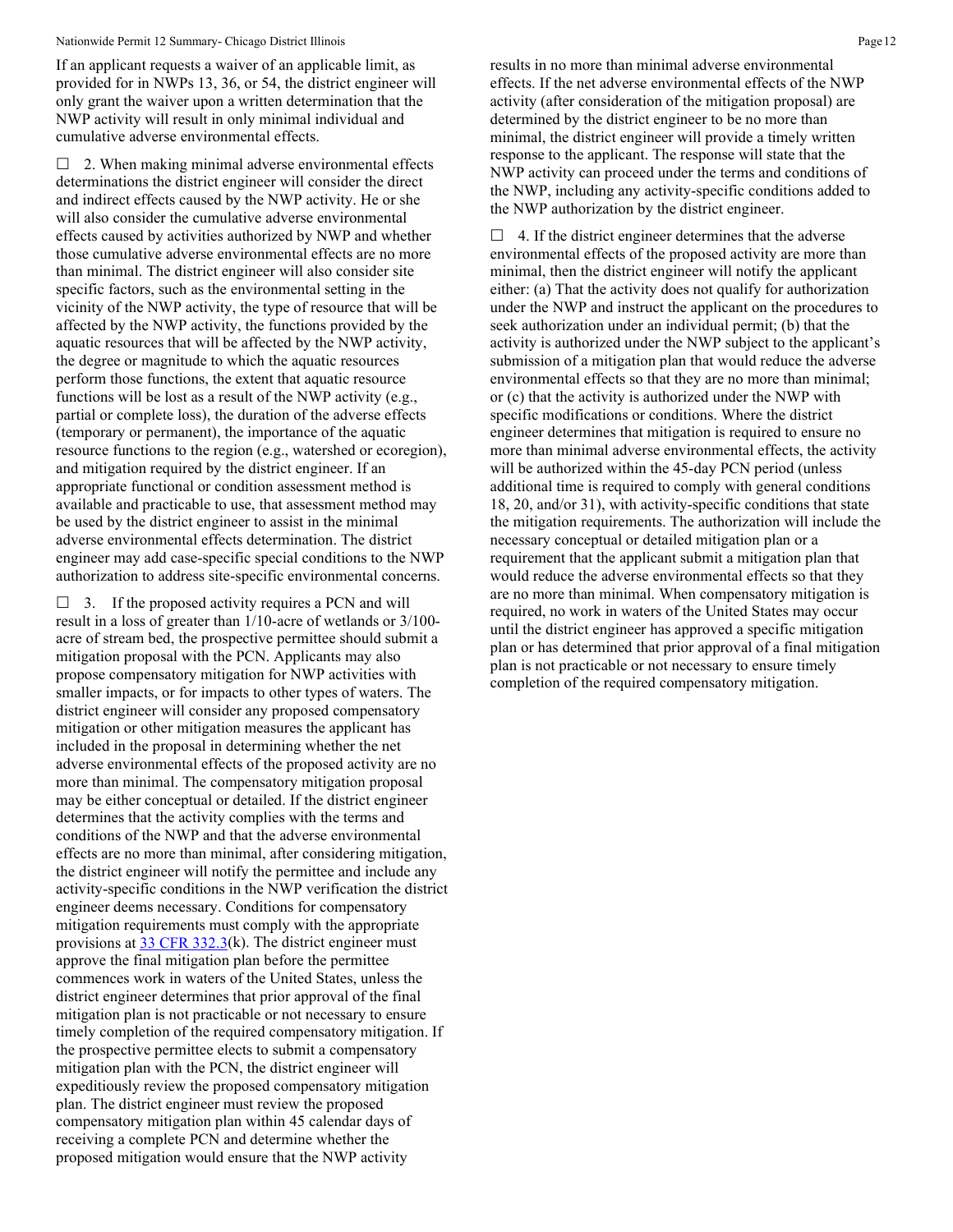If an applicant requests a waiver of an applicable limit, as provided for in NWPs 13, 36, or 54, the district engineer will only grant the waiver upon a written determination that the NWP activity will result in only minimal individual and cumulative adverse environmental effects.

 2. When making minimal adverse environmental effects determinations the district engineer will consider the direct and indirect effects caused by the NWP activity. He or she will also consider the cumulative adverse environmental effects caused by activities authorized by NWP and whether those cumulative adverse environmental effects are no more than minimal. The district engineer will also consider site specific factors, such as the environmental setting in the vicinity of the NWP activity, the type of resource that will be affected by the NWP activity, the functions provided by the aquatic resources that will be affected by the NWP activity, the degree or magnitude to which the aquatic resources perform those functions, the extent that aquatic resource functions will be lost as a result of the NWP activity (e.g., partial or complete loss), the duration of the adverse effects (temporary or permanent), the importance of the aquatic resource functions to the region (e.g., watershed or ecoregion), and mitigation required by the district engineer. If an appropriate functional or condition assessment method is available and practicable to use, that assessment method may be used by the district engineer to assist in the minimal adverse environmental effects determination. The district engineer may add case-specific special conditions to the NWP authorization to address site-specific environmental concerns.

 $\Box$  3. If the proposed activity requires a PCN and will result in a loss of greater than 1/10-acre of wetlands or 3/100 acre of stream bed, the prospective permittee should submit a mitigation proposal with the PCN. Applicants may also propose compensatory mitigation for NWP activities with smaller impacts, or for impacts to other types of waters. The district engineer will consider any proposed compensatory mitigation or other mitigation measures the applicant has included in the proposal in determining whether the net adverse environmental effects of the proposed activity are no more than minimal. The compensatory mitigation proposal may be either conceptual or detailed. If the district engineer determines that the activity complies with the terms and conditions of the NWP and that the adverse environmental effects are no more than minimal, after considering mitigation, the district engineer will notify the permittee and include any activity-specific conditions in the NWP verification the district engineer deems necessary. Conditions for compensatory mitigation requirements must comply with the appropriate provisions at  $\frac{33 \text{ CFR } 332.3 \text{ (k)}}{200 \text{ K}}$ . The district engineer must approve the final mitigation plan before the permittee commences work in waters of the United States, unless the district engineer determines that prior approval of the final mitigation plan is not practicable or not necessary to ensure timely completion of the required compensatory mitigation. If the prospective permittee elects to submit a compensatory mitigation plan with the PCN, the district engineer will expeditiously review the proposed compensatory mitigation plan. The district engineer must review the proposed compensatory mitigation plan within 45 calendar days of receiving a complete PCN and determine whether the proposed mitigation would ensure that the NWP activity

results in no more than minimal adverse environmental effects. If the net adverse environmental effects of the NWP activity (after consideration of the mitigation proposal) are determined by the district engineer to be no more than minimal, the district engineer will provide a timely written response to the applicant. The response will state that the NWP activity can proceed under the terms and conditions of the NWP, including any activity-specific conditions added to the NWP authorization by the district engineer.

 $\Box$  4. If the district engineer determines that the adverse environmental effects of the proposed activity are more than minimal, then the district engineer will notify the applicant either: (a) That the activity does not qualify for authorization under the NWP and instruct the applicant on the procedures to seek authorization under an individual permit; (b) that the activity is authorized under the NWP subject to the applicant's submission of a mitigation plan that would reduce the adverse environmental effects so that they are no more than minimal; or (c) that the activity is authorized under the NWP with specific modifications or conditions. Where the district engineer determines that mitigation is required to ensure no more than minimal adverse environmental effects, the activity will be authorized within the 45-day PCN period (unless additional time is required to comply with general conditions 18, 20, and/or 31), with activity-specific conditions that state the mitigation requirements. The authorization will include the necessary conceptual or detailed mitigation plan or a requirement that the applicant submit a mitigation plan that would reduce the adverse environmental effects so that they are no more than minimal. When compensatory mitigation is required, no work in waters of the United States may occur until the district engineer has approved a specific mitigation plan or has determined that prior approval of a final mitigation plan is not practicable or not necessary to ensure timely completion of the required compensatory mitigation.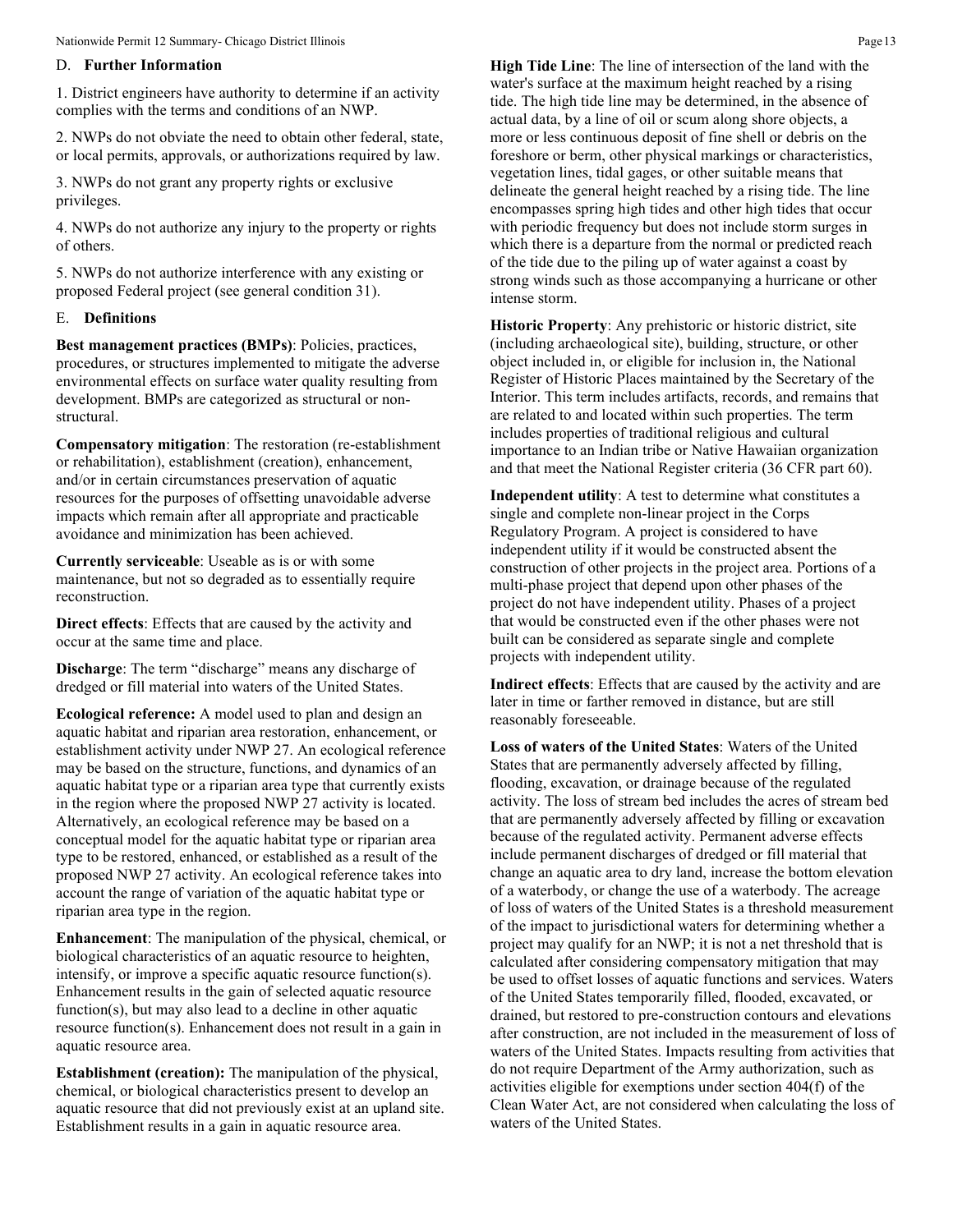## D. **Further Information**

1. District engineers have authority to determine if an activity complies with the terms and conditions of an NWP.

2. NWPs do not obviate the need to obtain other federal, state, or local permits, approvals, or authorizations required by law.

3. NWPs do not grant any property rights or exclusive privileges.

4. NWPs do not authorize any injury to the property or rights of others.

5. NWPs do not authorize interference with any existing or proposed Federal project (see general condition 31).

## E. **Definitions**

**Best management practices (BMPs)**: Policies, practices, procedures, or structures implemented to mitigate the adverse environmental effects on surface water quality resulting from development. BMPs are categorized as structural or nonstructural.

**Compensatory mitigation**: The restoration (re-establishment or rehabilitation), establishment (creation), enhancement, and/or in certain circumstances preservation of aquatic resources for the purposes of offsetting unavoidable adverse impacts which remain after all appropriate and practicable avoidance and minimization has been achieved.

**Currently serviceable**: Useable as is or with some maintenance, but not so degraded as to essentially require reconstruction.

**Direct effects**: Effects that are caused by the activity and occur at the same time and place.

**Discharge**: The term "discharge" means any discharge of dredged or fill material into waters of the United States.

**Ecological reference:** A model used to plan and design an aquatic habitat and riparian area restoration, enhancement, or establishment activity under NWP 27. An ecological reference may be based on the structure, functions, and dynamics of an aquatic habitat type or a riparian area type that currently exists in the region where the proposed NWP 27 activity is located. Alternatively, an ecological reference may be based on a conceptual model for the aquatic habitat type or riparian area type to be restored, enhanced, or established as a result of the proposed NWP 27 activity. An ecological reference takes into account the range of variation of the aquatic habitat type or riparian area type in the region.

**Enhancement**: The manipulation of the physical, chemical, or biological characteristics of an aquatic resource to heighten, intensify, or improve a specific aquatic resource function(s). Enhancement results in the gain of selected aquatic resource function(s), but may also lead to a decline in other aquatic resource function(s). Enhancement does not result in a gain in aquatic resource area.

**Establishment (creation):** The manipulation of the physical, chemical, or biological characteristics present to develop an aquatic resource that did not previously exist at an upland site. Establishment results in a gain in aquatic resource area.

**High Tide Line**: The line of intersection of the land with the water's surface at the maximum height reached by a rising tide. The high tide line may be determined, in the absence of actual data, by a line of oil or scum along shore objects, a more or less continuous deposit of fine shell or debris on the foreshore or berm, other physical markings or characteristics, vegetation lines, tidal gages, or other suitable means that delineate the general height reached by a rising tide. The line encompasses spring high tides and other high tides that occur with periodic frequency but does not include storm surges in which there is a departure from the normal or predicted reach of the tide due to the piling up of water against a coast by strong winds such as those accompanying a hurricane or other intense storm.

**Historic Property**: Any prehistoric or historic district, site (including archaeological site), building, structure, or other object included in, or eligible for inclusion in, the National Register of Historic Places maintained by the Secretary of the Interior. This term includes artifacts, records, and remains that are related to and located within such properties. The term includes properties of traditional religious and cultural importance to an Indian tribe or Native Hawaiian organization and that meet the National Register criteria (36 CFR part 60).

**Independent utility**: A test to determine what constitutes a single and complete non-linear project in the Corps Regulatory Program. A project is considered to have independent utility if it would be constructed absent the construction of other projects in the project area. Portions of a multi-phase project that depend upon other phases of the project do not have independent utility. Phases of a project that would be constructed even if the other phases were not built can be considered as separate single and complete projects with independent utility.

**Indirect effects**: Effects that are caused by the activity and are later in time or farther removed in distance, but are still reasonably foreseeable.

**Loss of waters of the United States**: Waters of the United States that are permanently adversely affected by filling, flooding, excavation, or drainage because of the regulated activity. The loss of stream bed includes the acres of stream bed that are permanently adversely affected by filling or excavation because of the regulated activity. Permanent adverse effects include permanent discharges of dredged or fill material that change an aquatic area to dry land, increase the bottom elevation of a waterbody, or change the use of a waterbody. The acreage of loss of waters of the United States is a threshold measurement of the impact to jurisdictional waters for determining whether a project may qualify for an NWP; it is not a net threshold that is calculated after considering compensatory mitigation that may be used to offset losses of aquatic functions and services. Waters of the United States temporarily filled, flooded, excavated, or drained, but restored to pre-construction contours and elevations after construction, are not included in the measurement of loss of waters of the United States. Impacts resulting from activities that do not require Department of the Army authorization, such as activities eligible for exemptions under section 404(f) of the Clean Water Act, are not considered when calculating the loss of waters of the United States.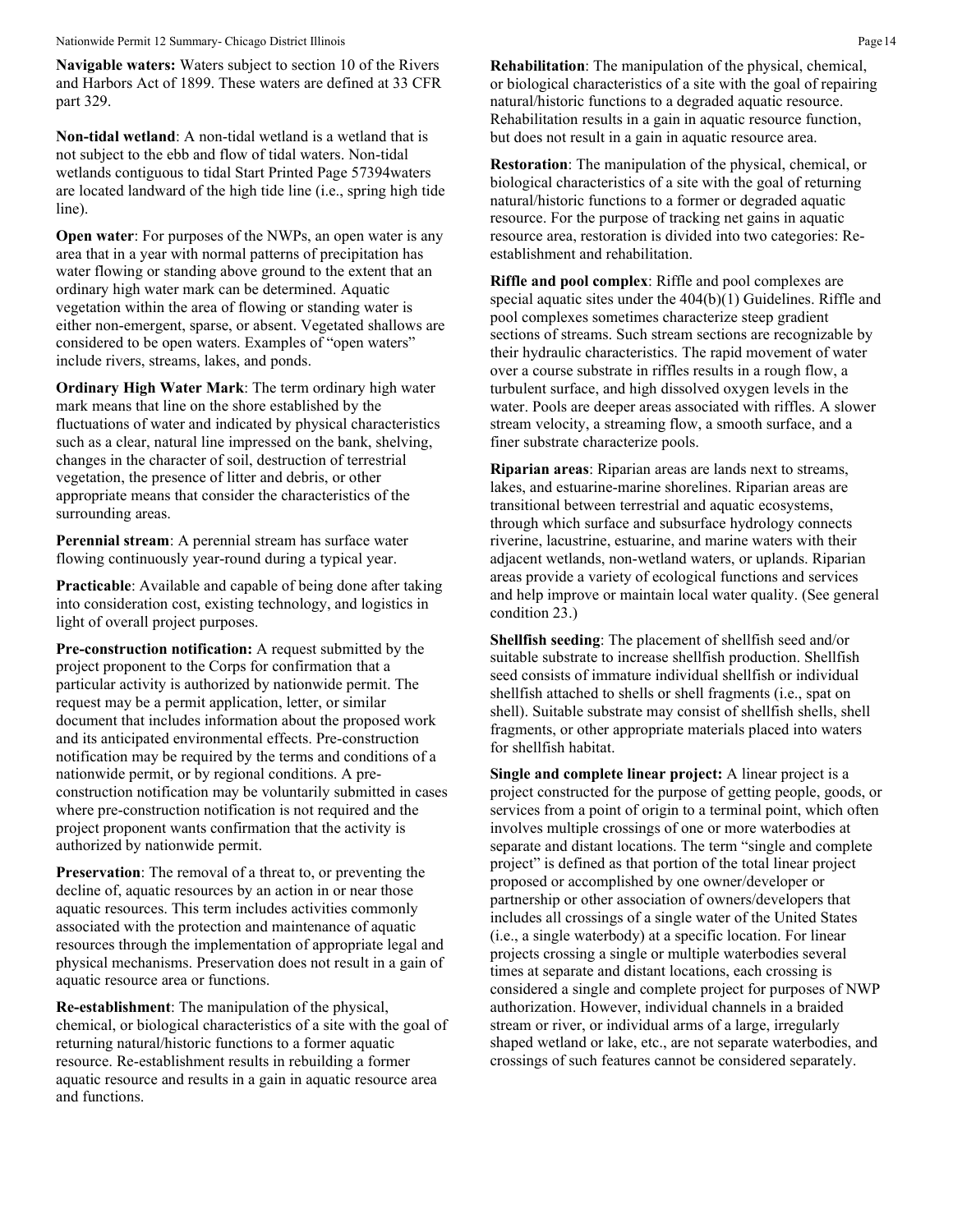**Navigable waters:** Waters subject to section 10 of the Rivers and Harbors Act of 1899. These waters are defined at 33 CFR part 329.

**Non-tidal wetland**: A non-tidal wetland is a wetland that is not subject to the ebb and flow of tidal waters. Non-tidal wetlands contiguous to tidal Start Printed Page 57394waters are located landward of the high tide line (i.e., spring high tide line).

**Open water:** For purposes of the NWPs, an open water is any area that in a year with normal patterns of precipitation has water flowing or standing above ground to the extent that an ordinary high water mark can be determined. Aquatic vegetation within the area of flowing or standing water is either non-emergent, sparse, or absent. Vegetated shallows are considered to be open waters. Examples of "open waters" include rivers, streams, lakes, and ponds.

**Ordinary High Water Mark**: The term ordinary high water mark means that line on the shore established by the fluctuations of water and indicated by physical characteristics such as a clear, natural line impressed on the bank, shelving, changes in the character of soil, destruction of terrestrial vegetation, the presence of litter and debris, or other appropriate means that consider the characteristics of the surrounding areas.

**Perennial stream**: A perennial stream has surface water flowing continuously year-round during a typical year.

**Practicable:** Available and capable of being done after taking into consideration cost, existing technology, and logistics in light of overall project purposes.

**Pre-construction notification:** A request submitted by the project proponent to the Corps for confirmation that a particular activity is authorized by nationwide permit. The request may be a permit application, letter, or similar document that includes information about the proposed work and its anticipated environmental effects. Pre-construction notification may be required by the terms and conditions of a nationwide permit, or by regional conditions. A preconstruction notification may be voluntarily submitted in cases where pre-construction notification is not required and the project proponent wants confirmation that the activity is authorized by nationwide permit.

**Preservation**: The removal of a threat to, or preventing the decline of, aquatic resources by an action in or near those aquatic resources. This term includes activities commonly associated with the protection and maintenance of aquatic resources through the implementation of appropriate legal and physical mechanisms. Preservation does not result in a gain of aquatic resource area or functions.

**Re-establishment**: The manipulation of the physical, chemical, or biological characteristics of a site with the goal of returning natural/historic functions to a former aquatic resource. Re-establishment results in rebuilding a former aquatic resource and results in a gain in aquatic resource area and functions.

**Rehabilitation**: The manipulation of the physical, chemical, or biological characteristics of a site with the goal of repairing natural/historic functions to a degraded aquatic resource. Rehabilitation results in a gain in aquatic resource function, but does not result in a gain in aquatic resource area.

**Restoration**: The manipulation of the physical, chemical, or biological characteristics of a site with the goal of returning natural/historic functions to a former or degraded aquatic resource. For the purpose of tracking net gains in aquatic resource area, restoration is divided into two categories: Reestablishment and rehabilitation.

**Riffle and pool complex**: Riffle and pool complexes are special aquatic sites under the 404(b)(1) Guidelines. Riffle and pool complexes sometimes characterize steep gradient sections of streams. Such stream sections are recognizable by their hydraulic characteristics. The rapid movement of water over a course substrate in riffles results in a rough flow, a turbulent surface, and high dissolved oxygen levels in the water. Pools are deeper areas associated with riffles. A slower stream velocity, a streaming flow, a smooth surface, and a finer substrate characterize pools.

**Riparian areas**: Riparian areas are lands next to streams, lakes, and estuarine-marine shorelines. Riparian areas are transitional between terrestrial and aquatic ecosystems, through which surface and subsurface hydrology connects riverine, lacustrine, estuarine, and marine waters with their adjacent wetlands, non-wetland waters, or uplands. Riparian areas provide a variety of ecological functions and services and help improve or maintain local water quality. (See general condition 23.)

**Shellfish seeding**: The placement of shellfish seed and/or suitable substrate to increase shellfish production. Shellfish seed consists of immature individual shellfish or individual shellfish attached to shells or shell fragments (i.e., spat on shell). Suitable substrate may consist of shellfish shells, shell fragments, or other appropriate materials placed into waters for shellfish habitat.

**Single and complete linear project:** A linear project is a project constructed for the purpose of getting people, goods, or services from a point of origin to a terminal point, which often involves multiple crossings of one or more waterbodies at separate and distant locations. The term "single and complete project" is defined as that portion of the total linear project proposed or accomplished by one owner/developer or partnership or other association of owners/developers that includes all crossings of a single water of the United States (i.e., a single waterbody) at a specific location. For linear projects crossing a single or multiple waterbodies several times at separate and distant locations, each crossing is considered a single and complete project for purposes of NWP authorization. However, individual channels in a braided stream or river, or individual arms of a large, irregularly shaped wetland or lake, etc., are not separate waterbodies, and crossings of such features cannot be considered separately.